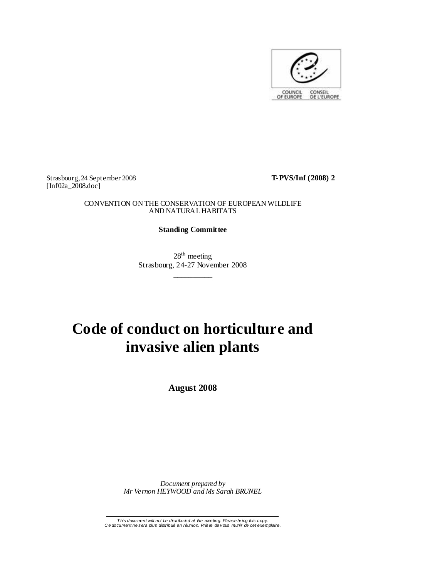

Strasbourg, 24 September 2008 **T-PVS/Inf (2008) 2**  [Inf02a\_2008.doc]

## CONVENTION ON THE CONSERVATION OF EUROPEAN WILDLIFE AND NATURAL HABITATS

## **Standing Committee**

 $28<sup>th</sup>$  meeting Strasbourg, 24-27 November 2008 \_\_\_\_\_\_\_\_\_\_

# **Code of conduct on horticulture and invasive alien plants**

**August 2008** 

*Document prepared by Mr Vernon HEYWOOD and Ms Sarah BRUNEL* 

T his docu ment will not be distribu ted at the meeting. Please br ing this copy. C e document ne sera plus distribué en réunion. Priè re de vous munir de cet exemplaire.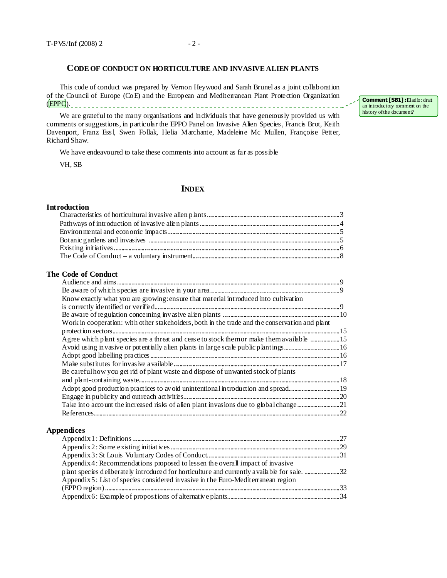## **CODE OF CONDUCT ON HORTICULTURE AND INVASIVE ALIEN PLANTS**

This code of conduct was prepared by Vernon Heywood and Sarah Brunel as a joint collaboration of the Council of Europe (CoE) and the European and Mediterranean Plant Protection Organization (EPPO).

We are grateful to the many organisations and individuals that have generously provided us with comments or suggestions, in particular the EPPO Panel on Invasive Alien Species , Francis Brot, Keith Davenport, Franz Ess l, Swen Follak, Helia Marchante, Madeleine Mc Mullen, Françoise Petter, Richard Shaw.

We have endeavoured to take these comments into account as far as possible

VH, SB

## **INDEX**

## **Introduction**

## **The Code of Conduct**

| Know exactly what you are growing: ensure that material introduced into cultivation            |  |
|------------------------------------------------------------------------------------------------|--|
|                                                                                                |  |
|                                                                                                |  |
| Work in cooperation: with other stakeholders, both in the trade and the conservation and plant |  |
|                                                                                                |  |
| Agree which plant species are a threat and cease to stock the mor make them available 15       |  |
|                                                                                                |  |
|                                                                                                |  |
|                                                                                                |  |
| Be careful how you get rid of plant waste and dispose of unwanted stock of plants              |  |
|                                                                                                |  |
|                                                                                                |  |
|                                                                                                |  |
|                                                                                                |  |
|                                                                                                |  |

#### **Appendices**

| Appendix 4: Recommendations proposed to lessen the overall impact of invasive     |  |
|-----------------------------------------------------------------------------------|--|
|                                                                                   |  |
| Appendix 5: List of species considered in vasive in the Euro-Mediterranean region |  |
|                                                                                   |  |
|                                                                                   |  |

Comment [SB1] : Eladio: draf an introductory comment on the history of the document?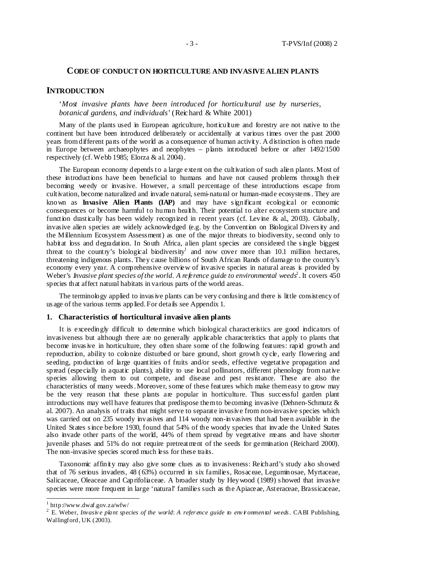#### **CODE OF CONDUCT ON HORTICULTURE AND INVASIVE ALIEN PLANTS**

#### **INTRODUCTION**

'*Most invasive plants have been introduced for horticultural use by nurseries, botanical gardens, and individuals*' (Reichard & White 2001)

Many of the plants used in European agriculture, horticulture and forestry are not native to the continent but have been introduced deliberately or accidentally at various times over the past 2000 years from different parts of the world as a consequence of human activity. A distinction is often made in Europe between archaeophytes and neophytes – plants introduced before or after 1492/1500 respectively (cf. Webb 1985; Elorza & al. 2004).

The European economy depends to a large extent on the cultivation of such alien plants. Most of these introductions have been beneficial to humans and have not caused problems through their becoming weedy or invasive. However, a small percentage of these introductions escape from cultivation, become naturalized and invade natural, semi-natural or human-made ecosystems . They are known as **Invasive Alien Plants (IAP)** and may have significant ecological or economic consequences or become harmful to human health. Their potential to alter ecosystem structure and function drastically has been widely recognized in recent years (cf. Levine & al., 2003). Globally, invasive alien species are widely acknowledged (e.g. by the Convention on Biological Divers ity and the Millennium Ecosystem Assessment) as one of the major threats to biodiversity, second only to habitat loss and degradation. In South Africa, alien plant species are considered the single biggest threat to the country's biological biodiversity<sup>1</sup> and now cover more than  $10.1$  million hectares, threatening indigenous plants. They cause billions of South African Rands of damage to the country's economy every year. A comprehensive overview of invasive species in natural areas is provided by Weber's *Invasive plant species of the world. A reference guide to environmental weeds*<sup>2</sup>. It covers 450 species that affect natural habitats in various parts of the world areas.

The terminology applied to invasive plants can be very confusing and there is little consistency of us age of the various terms applied. For details see Appendix 1.

#### **1. Characteristics of horticultural invasive alien plants**

It is exceedingly difficult to determine which biological characteristics are good indicators of invasiveness but although there are no generally applicable characteristics that apply to plants that become invas ive in horticulture, they often share some of the following features: rapid growth and reproduction, ability to colonize disturbed or bare ground, short growth cycle, early flowering and seeding, production of large quantities of fruits and/or seeds, effective vegetative propagation and spread (especially in aquatic plants), ability to use local pollinators, different phenology from native species allowing them to out compete, and disease and pest resistance. These are also the characteristics of many weeds . Moreover, some of these features which make them easy to grow may be the very reason that these plants are popular in horticulture. Thus successful garden plant introductions may well have features that predispose them to becoming invasive (Dehnen-Schmutz  $\&$ al. 2007). An analysis of traits that might serve to separate invasive from non-invasive species which was carried out on 235 woody invasives and 114 woody non-invasives that had been available in the United States s ince before 1930, found that 54% of the woody species that invade the United States also invade other parts of the world, 44% of them spread by vegetative means and have shorter juvenile phases and 51% do not require pretreatment of the seeds for germination (Reichard 2000). The non-invasive species scored much less for these traits.

Taxonomic affinity may also give some clues as to invasiveness: Reichard's study also showed that of 76 serious invaders, 48 (63%) occurred in six families, Rosaceae, Leguminosae, Myrtaceae, Salicaceae, Oleaceae and Caprifoliaceae. A broader study by Heywood (1989) s howed that invasive species were more frequent in large 'natural' families such as the Apiaceae, Asteraceae, Brassicaceae,

 1 http://www.dwaf.gov.za/wfw/

<sup>&</sup>lt;sup>2</sup> E. Weber, *Invasive plant species of the world: A reference guide to environmental weeds. CABI Publishing,* Wallingford, UK (2003).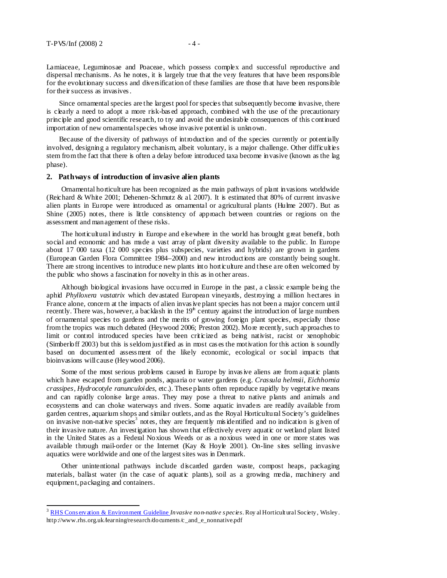Lamiaceae, Leguminosae and Poaceae, which possess complex and successful reproductive and dispersal mechanisms. As he notes, it is largely true that the very features that have been responsible for the evolutionary success and diversification of these families are those that have been responsible for their success as invasives .

Since ornamental species are the largest pool for species that subsequently become invasive, there is clearly a need to adopt a more risk-based approach, combined with the use of the precautionary principle and good scientific research, to try and avoid the undesirable consequences of this continued importation of new ornamental species whose invasive potential is unknown.

Because of the diversity of pathways of introduction and of the species currently or potentially involved, designing a regulatory mechanism, albeit voluntary, is a major challenge. Other difficulties stem from the fact that there is often a delay before introduced taxa become invasive (known as the lag phase).

#### **2. Pathways of introduction of invasive alien plants**

Ornamental horticulture has been recognized as the main pathways of plant invasions worldwide (Reichard & White 2001; Dehenen-Schmutz & al. 2007). It is estimated that 80% of current invasive alien plants in Europe were introduced as ornamental or agricultural plants (Hulme 2007). But as Shine (2005) notes, there is little consistency of approach between countries or regions on the assessment and management of these risks.

The horticultural industry in Europe and elsewhere in the world has brought great benefit, both social and economic and has made a vast array of plant diversity available to the public. In Europe about 17 000 taxa (12 000 species plus subspecies, varieties and hybrids) are grown in gardens (European Garden Flora Committee 1984–2000) and new introductions are constantly being sought. There are strong incentives to introduce new plants into horticulture and these are often welcomed by the public who shows a fascination for novelty in this as in other areas.

Although biological invasions have occurred in Europe in the past, a classic example being the aphid *Phylloxera vastatrix* which devastated European vineyards, destroying a million hectares in France alone, concern at the impacts of alien invasive plant species has not been a major concern until recently. There was, however, a backlash in the  $19<sup>th</sup>$  century against the introduction of large numbers of ornamental species to gardens and the merits of growing foreign plant species, especially those from the tropics was much debated (Heywood 2006; Preston 2002). More recently, such approaches to limit or control introduced species have been criticized as being nativist, racist or xenophobic (Simberloff 2003) but this is seldom justified as in most cas es the motivation for this action is soundly based on documented assess ment of the likely economic, ecological or social impacts that bioinvasions will cause (Heywood 2006).

Some of the most serious problems caused in Europe by invasive aliens are from aquatic plants which have escaped from garden ponds, aquaria or water gardens (e.g. *Crassula helmsii, Eichhornia crassipes, Hydrocotyle ranunculoides*, etc.). These plants often reproduce rapidly by vegetative means and can rapidly colonise large areas. They may pose a threat to native plants and animals and ecosystems and can choke waterways and rivers. Some aquatic invaders are readily available from garden centres, aquarium shops and similar outlets, and as the Royal Horticultural Society's guidelines on invasive non-native species<sup>3</sup> notes, they are frequently misidentified and no indication is given of their invasive nature. An investigation has shown that effectively every aquatic or wetland plant listed in the United States as a Federal Noxious Weeds or as a noxious weed in one or more states was available through mail-order or the Internet (Kay & Hoyle 2001). On-line sites selling invasive aquatics were worldwide and one of the largest sites was in Denmark.

Other unintentional pathways include discarded garden waste, compost heaps, packaging materials, ballast water (in the case of aquatic plants), soil as a growing media, machinery and equipment, packaging and containers.

<sup>3</sup> RHS Cons ervation & Environment Guideline *Invasive non-native s pecies*. Roy al Horticult ural Society, Wisley. http://www.rhs.org.uk/learning/research/documents /c\_and\_e\_nonnative.pdf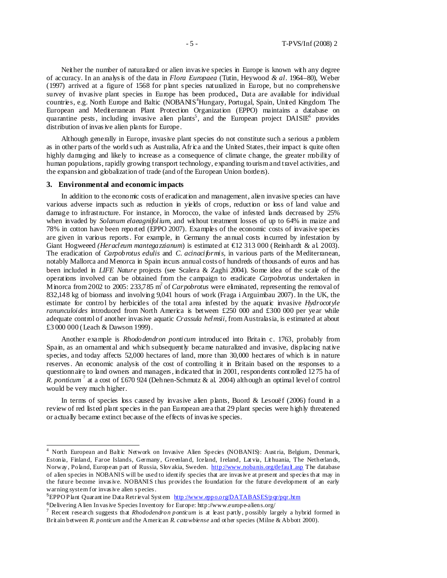Neither the number of naturalized or alien invas ive species in Europe is known with any degree of accuracy. In an analys is of the data in *Flora Europaea* (Tutin, Heywood *& al.* 1964–80), Weber (1997) arrived at a figure of 1568 for plant s pecies naturalized in Europe, but no comprehensive survey of invasive plant species in Europe has been produced., Data are available for individual countries, e.g. North Europe and Baltic (NOBANIS<sup>4</sup>Hungary, Portugal, Spain, United Kingdom. The European and Mediterranean Plant Protection Organization (EPPO) maintains a database on quarantine pests, including invasive alien plants<sup>5</sup>, and the European project  $D A I S I E^6$  provides distribution of invas ive alien plants for Europe.

Although generally in Europe, invasive plant species do not constitute such a serious a problem as in other parts of the world s uch as Australia, Africa and the United States, their impact is quite often highly damaging and likely to increase as a consequence of climate change, the greater mobility of human populations, rapidly growing transport technology, expanding tourism and travel activities, and the expansion and globalization of trade (and of the European Union borders).

#### **3. Environmental and economic impacts**

 $\overline{a}$ 

In addition to the economic costs of eradication and management, alien invasive species can have various adverse impacts such as reduction in yields of crops, reduction or loss of land value and damage to infrastructure. For instance, in Morocco, the value of infested lands decreased by 25% when invaded by *Solanum elaeagnifolium*, and without treatment losses of up to 64% in maize and 78% in cotton have been reported (EPPO 2007). Examples of the economic costs of invasive species are given in various reports . For example, in Germany the annual costs incurred by infestation by Giant Hogweeed *(Heracleum mantegazzianum*) is estimated at €12 313 000 (Reinhardt & al. 2003). The eradication of *Carpobrotus edulis* and *C. acinaciformis*, in various parts of the Mediterranean, notably Mallorca and Menorca in Spain incurs annual costs of hundreds of thousands of euros and has been included in *LIFE Nature* projects (see Scalera & Zaghi 2004). Some idea of the scale of the operations involved can be obtained from the campaign to eradicate *Carpobrotus* undertaken in Minorca from 2002 to 2005: 233,785 m<sup>2</sup> of *Carpobrotus* were eliminated, representing the removal of 832,148 kg of biomass and involving 9,041 hours of work (Fraga i Arguimbau 2007). In the UK, the estimate for control by herbicides of the total area infested by the aquatic invasive *Hydrocotyle ranunculoides* introduced from North America is between £250 000 and £300 000 per year while adequate control of another invasive aquatic *Crassula helmsii,* from Australasia, is estimated at about £3 000 000 (Leach & Dawson 1999).

Another example is *Rhododendron ponticum* introduced into Britain c. 1763, probably from Spain, as an ornamental and which subsequently became naturalized and invasive, displacing native species, and today affects 52,000 hectares of land, more than 30,000 hectares of which is in nature reserves . An economic analysis of the cost of controlling it in Britain based on the responses to a questionnaire to land owners and managers, indicated that in 2001, respondents controlled 1275 ha of *R. ponticum*<sup>7</sup> at a cost of £670 924 (Dehnen-Schmutz & al. 2004) although an optimal level of control would be very much higher.

In terms of species loss caused by invasive alien plants, Buord & Lesouëf (2006) found in a review of red listed plant species in the pan European area that 29 plant species were highly threatened or actually became extinct because of the effects of invas ive species.

<sup>&</sup>lt;sup>4</sup> North European and Baltic Network on Invasive Alien Species (NOBANIS): Austria, Belgium, Denmark, Estonia, Finland, Faroe Islands, Germany, Greenland, Iceland, Ireland, Lat via, Lit huania, The Netherlands, Norway, Poland, European part of Russia, Slovakia, Sweden. http://www.nobanis.org/default.asp The database of alien species in NOBANIS will be used to ident ify species that are invas ive at present and species that may in the future become invasive. NOBANIS thus provides the foundation for the future development of an early warning system for invas ive alien s pecies .

 $5EPPO$  P lant Quarant ine Data Retrieval System http://www.eppo.org/DATABASES/pqr/pqr.htm

 $6$ Delivering A lien Invas ive Species Inventory for Europe: http://www.europe-aliens.org/

<sup>7</sup> Recent research suggests that *Rhododendron ponticum* is at least partly, possibly largely a hybrid formed in Brit ain between *R. ponticum* and the American *R. catawbiense* and ot her species (Milne & Abbott 2000).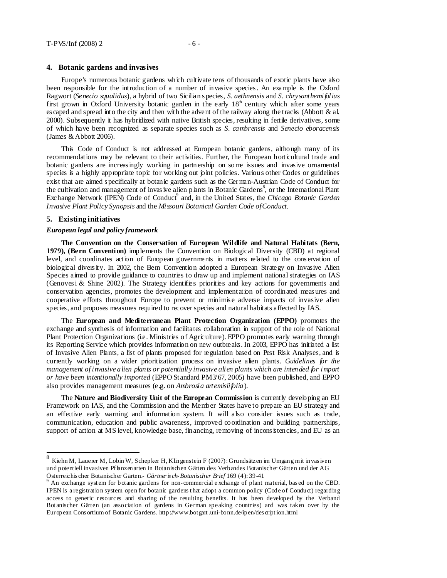#### **4. Botanic gardens and invasives**

Europe's numerous botanic gardens which cultivate tens of thousands of exotic plants have also been responsible for the introduction of a number of invasive species . An example is the Oxford Ragwort (*Senecio squalidus*), a hybrid of two Sicilian s pecies, *S. aethnensis* and *S. chrysanthemifolius*  first grown in Oxford University botanic garden in the early 18<sup>th</sup> century which after some years es caped and spread into the city and then with the advent of the railway along the tracks (Abbott & al. 2000). Subsequently it has hybridized with native British species, resulting in fertile derivatives, some of which have been recognized as separate species such as *S. cambrensis* and *Senecio eboracensis*  (James & Abbott 2006)*.*

This Code of Conduct is not addressed at European botanic gardens, although many of its recommendations may be relevant to their activities. Further, the European horticultural trade and botanic gardens are increas ingly working in partnership on some issues and invasive ornamental species is a highly appropriate topic for working out joint policies. Various other Codes or guidelines exist that are aimed s pecifically at botanic gardens such as the German-Austrian Code of Conduct for the cultivation and management of invasive alien plants in Botanic Gardens<sup>8</sup>, or the International Plant Exchange Network (IPEN) Code of Conduct<sup>9</sup> and, in the United States, the *Chicago Botanic Garden Invasive Plant Policy Synopsis* and the *Missouri Botanical Garden Code of Conduct.*

#### **5. Existing initiatives**

 $\overline{a}$ 

#### *European legal and policy framework*

**The Convention on the Conservation of European Wildlife and Natural Habitats (Bern, 1979), (Bern Convention)** implements the Convention on Biological Diversity (CBD) at regional level, and coordinates action of European governments in matters related to the cons ervation of biological divers ity. In 2002, the Bern Convention adopted a European Strategy on Invasive Alien Species aimed to provide guidance to countries to draw up and implement national strategies on IAS (Genoves i & Shine 2002). The Strategy identifies priorities and key actions for governments and conservation agencies, promotes the development and implementation of coordinated meas ures and cooperative efforts throughout Europe to prevent or minimis e adverse impacts of invasive alien species, and proposes measures required to recover species and natural habitats affected by IAS.

The **European and Mediterranean Plant Protection Organization (EPPO)** promotes the exchange and synthesis of information and facilitates collaboration in support of the role of National Plant Protection Organizations (i.e. Ministries of Agriculture). EPPO promotes early warning through its Reporting Service which provides information on new outbreaks. In 2003, EPPO has initiated a list of Invasive Alien Plants, a list of plants proposed for regulation based on Pest Risk Analyses, and is currently working on a wider prioritization process on invasive alien plants. *Guidelines for the management of invasive alien plants or potentially invasive alien plants which are intended for import or have been intentionally imported* (EPPO Standard PM3/67, 2005) have been published, and EPPO also provides management measures (e.g. on *Ambrosia artemisiifolia*).

The **Nature and Biodiversity Unit of the European Commission** is currently developing an EU Framework on IAS, and the Commission and the Member States have to prepare an EU strategy and an effective early warning and information system. It will also consider issues such as trade, communication, education and public awareness, improved coordination and building partnerships, support of action at MS level, knowledge base, financing, removing of inconsistencies, and EU as an

<sup>8</sup> Kiehn M, Lauerer M, Lobin W, Schepker H, Klingenstein F (2007): Grundsätzen im Umgang mit invas iven und potent iell invasiven Pflanzenarten in Botanischen Gärten des Verbandes Botanischer Gärten und der AG Österreichis cher Botanischer Gärten.- *Gärtner is ch-Botanischer Brief* 169 (4): 39-41

<sup>9</sup> An exchange syst em for botanic gardens for non-commercial e xchange of plant material, bas ed on the CBD. IPEN is a registrat ion system open for botanic gardens t hat adopt a common policy (Code of Conduct) regarding access to genetic resources and sharing of the resulting benefits . It has been developed by the Verband Bot anischer Gärten (an associat ion of gardens in German speaking countries) and was taken over by the European Cons ortium of Botanic Gardens. http://www.botgart .uni-bonn.de/ipen/des cript ion.html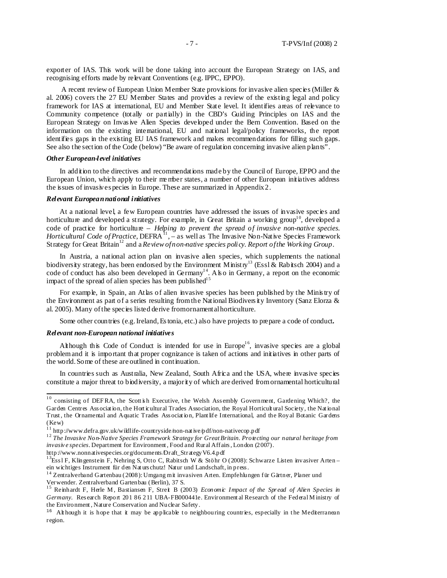exporter of IAS. This work will be done taking into account the European Strategy on IAS, and recognising efforts made by relevant Conventions (e.g. IPPC, EPPO).

A recent review of European Union Member State provisions for invasive alien species (Miller & al. 2006) covers the 27 EU Member States and provides a review of the existing legal and policy framework for IAS at international, EU and Member State level. It identifies areas of relevance to Community competence (totally or partially) in the CBD's Guiding Principles on IAS and the European Strategy on Invas ive Alien Species developed under the Bern Convention. Based on the information on the existing international, EU and national legal/policy frameworks, the report identifies gaps in the existing EU IAS framework and makes recommendations for filling such gaps. See also the section of the Code (below) "Be aware of regulation concerning invasive alien plants".

#### *Other European-level initiatives*

In addition to the directives and recommendations made by the Council of Europe, EPPO and the European Union, which apply to their me mber states, a number of other European initiatives address the issues of invasive s pecies in Europe. These are summarized in Appendix 2.

#### *Relevant European national initiatives*

At a national level, a few European countries have addressed the issues of invasive species and horticulture and developed a strategy. For example, in Great Britain a working group<sup>10</sup>, developed a code of practice for horticulture – *Helping to prevent the spread of invasive non-native species. Horticultural Code of Practice*, DEFRA $^{11}$ ,  $-$  as well as The Invasive Non-Native Species Framework Strategy for Great Britain<sup>12</sup> and a *Review of non-native species policy. Report of the Working Group.* 

In Austria, a national action plan on invasive alien species, which supplements the national biodiversity strategy, has been endorsed by the Environment Ministry<sup>13</sup> (Essl & Rabitsch 2004) and a code of conduct has also been developed in  $\text{Germany}^{14}$ . Also in Germany, a report on the economic impact of the spread of alien species has been published<sup>15</sup>

For example, in Spain, an Atlas of alien invasive species has been published by the Ministry of the Environment as part of a series resulting from the National Biodivers ity Inventory (Sanz Elorza & al. 2005). Many of the species listed derive from ornamental horticulture.

Some other countries (e.g. Ireland, Es tonia, etc.) also have projects to prepare a code of conduct*.* 

#### *Relevant non-European national initiatives*

 $\frac{1}{2}$ 

Although this Code of Conduct is intended for use in Europe<sup>16</sup>, invasive species are a global problem and it is important that proper cognizance is taken of actions and initiatives in other parts of the world. Some of these are outlined in continuation.

In countries such as Australia, New Zealand, South Africa and the USA, where invasive species constitute a major threat to biodiversity, a majority of which are derived from ornamental horticultural

http://www.nonnativespecies.org/documents /Draft\_StrategyV6.4.pdf

 $10$  consisting of DEFRA, the Scott is h Executive, the Welsh Assembly Government, Gardening Which?, the Garden Centres Ass ociat ion, the Hort icultural Trades Association, the Royal Horticult ural Society, the Nat ional Trust , the Ornamental and Aquatic Trades Ass ociat ion, Plant life International, and the Royal Botanic Gardens (Kew)

http://www.defra.gov.uk/wildlife-countryside/non-native/pdf/non-nativecop.pdf

<sup>1 2</sup> *The Invasive Non-Native Species Framework Strategy for Great Britain*. *Protecting our natural heritage from invasiv e species*. Department for Environment , Food and Rural Affairs , London (2007).

<sup>&</sup>lt;sup>13</sup>Ess l F, Klingenstein F, Nehring S, Otto C, Rabitsch W & Stöhr O (2008): Schwarze Listen invasiver Arten – ein wichtiges Instrument für den Nat urs chutz! Natur und Landschaft, in press .

<sup>&</sup>lt;sup>14</sup> Zentralverband Gartenbau (2008): Umgang mit invasiven Arten. Empfehlungen für Gärtner, Planer und Verwender. Zentralverband Gartenbau (Berlin), 37 S.

<sup>15</sup> Reinhardt F, Herle M, Bastiansen F, Streit B (2003) *Economic Impact of the Spread of Alien Species* in *Germany*. Res earch Report 201 86 211 UBA-FB000441e. Environment al Research of the Federal M inistry of the Environment , Nature Conservation and Nuclear Safety.

 $16$  Alt hough it is hope that it may be applicable to neighbouring countries, especially in the Mediterranean region.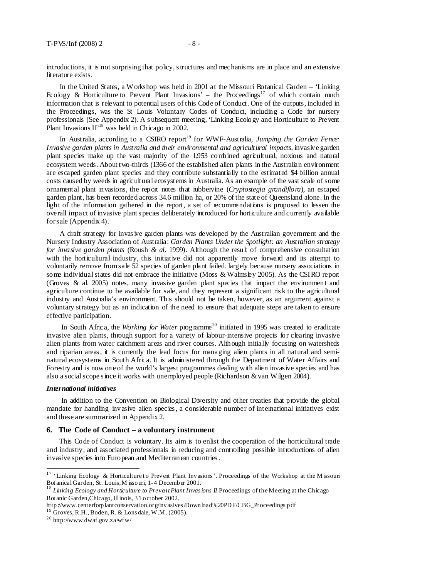introductions, it is not surprising that policy, s tructures and mechanisms are in place and an extensive literature exists.

In the United States, a Workshop was held in 2001 at the Missouri Botanical Garden *–* 'Linking Ecology & Horticulture to Prevent Plant Invasions' – the Proceedings<sup>17</sup> of which contain much information that is relevant to potential users of this Code of Conduct. One of the outputs, included in the Proceedings, was the St Louis Voluntary Codes of Conduct, including a Code for nursery professionals (See Appendix 2). A s ubsequent meeting, 'Linking Ecology and Horticulture to Prevent Plant Invasions  $II<sup>18</sup>$  was held in Chicago in 2002.

In Australia, according to a CSIRO report<sup>19</sup> for WWF-Australia, *Jumping the Garden Fence: Invasive garden plants in Australia and their environmental and agricultural impacts*, invasive garden plant species make up the vast majority of the 1,953 combined agricultural, noxious and natural ecosystem weeds. About two-thirds (1366 of the established alien plants in the Australian environment are escaped garden plant species and they contribute substantially to the estimated \$4 billion annual costs caused by weeds in agricultural ecosystems in Australia. As an example of the vast scale of some ornamental plant invasions, the report notes that rubbervine (*Cryptostegia grandiflora*), an escaped garden plant, has been recorded across 34.6 million ha, or 20% of the state of Queensland alone. In the light of the information gathered in the report, a set of recommendations is proposed to lessen the overall impact of invasive plant s pecies deliberately introduced for horticulture and currently available for sale (Appendix 4).

A draft strategy for invas ive garden plants was developed by the Australian government and the Nursery Industry Association of Australia: *Garden Plants Under the Spotlight: an Australian strategy for invasive garden plants* (Roush & *al.* 1999). Although the result of comprehensive consultation with the horticultural industry, this initiative did not apparently move forward and its attempt to voluntarily remove from sale 52 species of garden plant failed, largely because nursery associations in some individual states did not embrace the initiative (Moss & Walmsley 2005). As the CSIRO report (Groves & al. 2005) notes, many invasive garden plant species that impact the environment and agriculture continue to be available for sale, and they represent a significant ris k to the agricultural industry and Australia's environment. This should not be taken, however, as an argument against a voluntary strategy but as an indication of the need to ensure that adequate steps are taken to ensure effective participation.

In South Africa, the *Working for Water* programme<sup>20</sup> initiated in 1995 was created to eradicate invasive alien plants, through support for a variety of labour-intensive projects for clearing invasive alien plants from water catchment areas and river courses. Although initially focusing on watersheds and riparian areas, it is currently the lead focus for managing alien plants in all natural and seminatural ecosystems in South Africa. It is administered through the Department of Water Affairs and Forestry and is now one of the world's largest programmes dealing with alien invasive species and has also a social scope s ince it works with unemployed people (Richardson & van Wilgen 2004).

#### *International initiatives*

<u>.</u>

In addition to the Convention on Biological Diversity and other treaties that provide the global mandate for handling invasive alien species , a considerable number of international initiatives exist and these are summarized in Appendix 2.

#### **6. The Code of Conduct – a voluntary instrument**

This Code of Conduct is voluntary. Its aim is to enlist the cooperation of the horticultural trade and industry, and associated professionals in reducing and controlling possible introductions of alien invasive species into European and Mediterranean countries .

<sup>&</sup>lt;sup>17</sup> 'Linking Ecology & Horticulture to Prevent Plant Invasions'. Proceedings of the Workshop at the M issouri Bot anical Garden, St. Louis, M issouri, 1-4 December 2001.

<sup>&</sup>lt;sup>18</sup> Linking Ecology and Horticulture to Prevent Plant Invasions II Proceedings of the Meeting at the Chicago Bot anic Garden,Chicago, Illinois, 31 october 2002.

http://www.centerforplantconservation.org/invasives/Download%20PDF/CBG\_Proceedings pdf  $19$  Groves, R.H., Boden, R. & Lons dale, W.M. (2005).

 $^{20}$  http://www.dwaf.gov.za/wfw/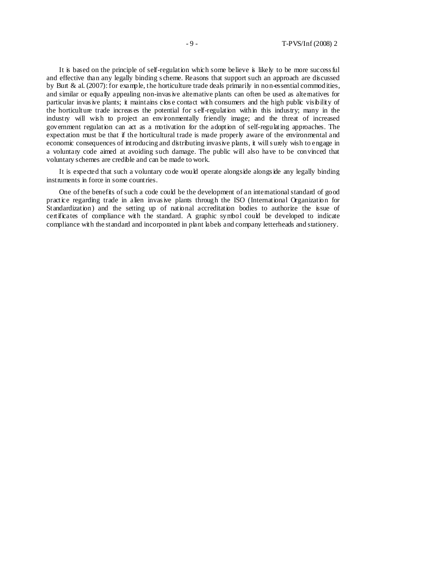It is based on the principle of self-regulation which some believe is likely to be more success ful and effective than any legally binding s cheme. Reasons that support such an approach are discussed by Burt & al. (2007): for example, the horticulture trade deals primarily in non-essential commodities, and similar or equally appealing non-invas ive alternative plants can often be used as alternatives for particular invas ive plants; it maintains clos e contact with consumers and the high public visibility of the horticulture trade increas es the potential for s elf-regulation within this industry; many in the industry will wish to project an environmentally friendly image; and the threat of increased government regulation can act as a motivation for the adoption of self-regulating approaches. The expectation must be that if the horticultural trade is made properly aware of the environmental and economic consequences of introducing and distributing invasive plants, it will s urely wish to engage in a voluntary code aimed at avoiding such damage. The public will also have to be convinced that voluntary schemes are credible and can be made to work.

It is expected that such a voluntary code would operate alongside alongs ide any legally binding instruments in force in some countries.

One of the benefits of such a code could be the development of an international standard of good practice regarding trade in alien invas ive plants through the ISO (International Organization for Standardization) and the setting up of national accreditation bodies to authorize the issue of certificates of compliance with the standard. A graphic symbol could be developed to indicate compliance with the standard and incorporated in plant labels and company letterheads and stationery.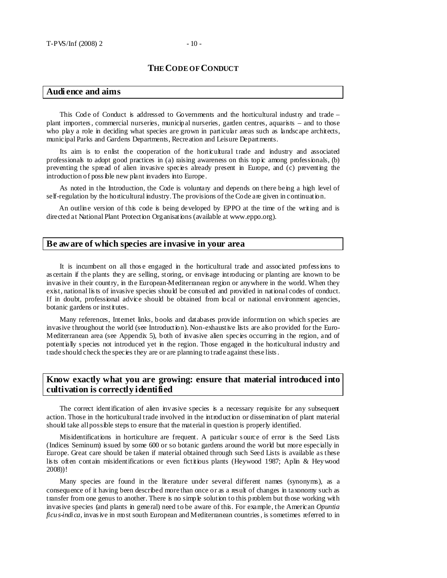## **THE CODE OF CONDUCT**

## **Audi ence and aims**

This Code of Conduct is addressed to Governments and the horticultural industry and trade – plant importers , commercial nurseries, municipal nurseries, garden centres, aquarists – and to those who play a role in deciding what species are grown in particular areas such as landscape architects, municipal Parks and Gardens Departments, Recreation and Leisure Departments.

Its aim is to enlist the cooperation of the horticultural trade and industry and associated professionals to adopt good practices in (a) raising awareness on this topic among professionals, (b) preventing the spread of alien invasive species already present in Europe, and (c) preventing the introduction of poss ible new plant invaders into Europe.

As noted in the Introduction, the Code is voluntary and depends on there being a high level of self-regulation by the horticultural industry. The provisions of the Code are given in continuation.

An outline version of this code is being developed by EPPO at the time of the writing and is directed at National Plant Protection Organisations (available at www.eppo.org).

#### **Be aware of which species are invasive in your area**

It is incumbent on all thos e engaged in the horticultural trade and associated profess ions to as certain if the plants they are selling, storing, or envisage introducing or planting are known to be invasive in their country, in the European-Mediterranean region or anywhere in the world. When they exist, national lists of invasive species should be consulted and provided in national codes of conduct. If in doubt, professional advice should be obtained from local or national environment agencies, botanic gardens or institutes.

Many references, Internet links, books and databases provide information on which species are invasive throughout the world (see Introduction). Non-exhaustive lists are also provided for the Euro-Mediterranean area (see Appendix 5), both of invasive alien species occurring in the region, and of potentially s pecies not introduced yet in the region. Those engaged in the horticultural industry and trade should check the species they are or are planning to trade against these lists .

## **Know exactly what you are growing: ensure that material introduced into cultivation is correctly identified**

The correct identification of alien invasive species is a necessary requisite for any subsequent action. Those in the horticultural trade involved in the introduction or dissemination of plant material should take all possible steps to ensure that the material in question is properly identified.

Misidentifications in horticulture are frequent. A particular s ource of error is the Seed Lists (Indices Seminum) issued by some 600 or so botanic gardens around the world but more especially in Europe. Great care should be taken if material obtained through such Seed Lists is available as these lis ts often contain misidentifications or even fictitious plants (Heywood 1987; Aplin & Heywood 2008))!

Many species are found in the literature under several different names (synonyms), as a consequence of it having been described more than once or as a result of changes in taxonomy such as transfer from one genus to another. There is no simple solution to this problem but those working with invasive species (and plants in general) need to be aware of this. For example, the American *Opuntia ficus-indica*, invasive in most south European and Mediterranean countries, is sometimes referred to in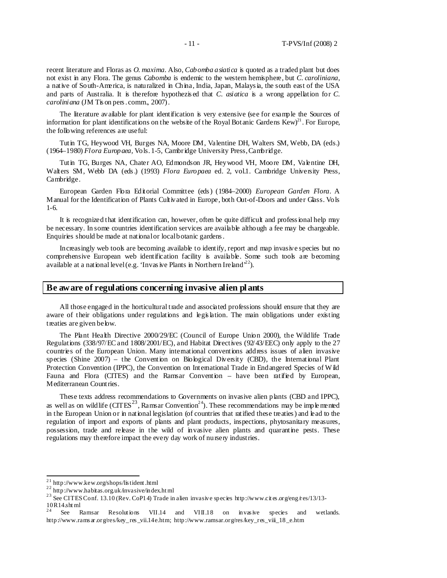recent literature and Floras as *O. maxima.* Also, *Cabomba asiatica* is quoted as a traded plant but does not exist in any Flora. The genus *Cabomba* is endemic to the western hemisphere, but *C. caroliniana*, a native of South-America, is naturalized in China, India, Japan, Malays ia, the south east of the USA and parts of Australia. It is therefore hypothezis ed that *C. asiatica* is a wrong appellation for *C. caroliniana* (JM Tis on pers . comm., 2007).

The literature available for plant identification is very extensive (see for example the Sources of information for plant identifications on the website of the Royal Botanic Gardens Kew)<sup>21</sup>. For Europe, the following references are useful:

Tutin TG, Heywood VH, Burges NA, Moore DM, Valentine DH, Walters SM, Webb, DA (eds.) (1964–1980) *Flora Europaea,* Vols. 1-5, Cambridge University Press, Cambridge.

Tutin TG, Burges NA, Chater AO, Edmondson JR, Heywood VH, Moore DM, Valentine DH, Walters SM, Webb DA (eds .) (1993) *Flora Europaea* ed. 2, vol.1. Cambridge University Press, Cambridge.

European Garden Flora Editorial Committee (eds ) (1984–2000) *European Garden Flora*. A Manual for the Identification of Plants Cultivated in Europe, both Out-of-Doors and under Glass. Vols 1-6.

It is recognized that identification can, however, often be quite difficult and profess ional help may be necessary. In some countries identification services are available although a fee may be chargeable. Enquiries should be made at national or local botanic gardens.

Increasingly web tools are becoming available to identify, report and map invasive species but no comprehensive European web identification facility is available. Some such tools are becoming available at a national level (e.g. 'Invas ive Plants in Northern Ireland'<sup>22</sup>).

### **Be aware of regulations concerning invasive alien pl ants**

All those engaged in the horticultural trade and associated professions should ensure that they are aware of their obligations under regulations and legislation. The main obligations under existing treaties are given below.

The Plant Health Directive 2000/29/EC (Council of Europe Union 2000), the Wildlife Trade Regulations (338/97/EC and 1808/2001/EC), and Habitat Directives (92/43/EEC) only apply to the 27 countries of the European Union. Many international conventions address issues of alien invasive species (Shine 2007) – the Convention on Biological Diversity (CBD), the International Plant Protection Convention (IPPC), the Convention on International Trade in Endangered Species of Wild Fauna and Flora (CITES) and the Ramsar Convention – have been ratified by European, Mediterranean Countries.

These texts address recommendations to Governments on invasive alien plants (CBD and IPPC), as well as on wild life  $(CTES<sup>23</sup>, Ramsar Convention<sup>24</sup>)$ . These recommendations may be imple mented in the European Union or in national legislation (of countries that ratified these treaties ) and lead to the regulation of import and exports of plants and plant products, inspections, phytosanitary measures, possession, trade and release in the wild of invasive alien plants and quarantine pests. These regulations may therefore impact the every day work of nursery industries.

 $\overline{a}$ 

 $^{21}$  http://www.kew.org/shops/lis tident .html

 $^{22}$  http://www.habitas.org.uk/invasive/index.html

<sup>&</sup>lt;sup>23</sup> See CITES Conf. 13.10 (Rev. CoP14) Trade in alien invasive species http://www.cites.org/eng/res/13/13- $10R14.sht$  ml<br> $24$  See E

See Ramsar Resolutions VII.14 and VIII.18 on invasive species and wetlands. http://www.rams ar.org/res/key\_res\_vii.14e.htm; http://www.ramsar.org/res/key\_res\_viii\_18\_e.htm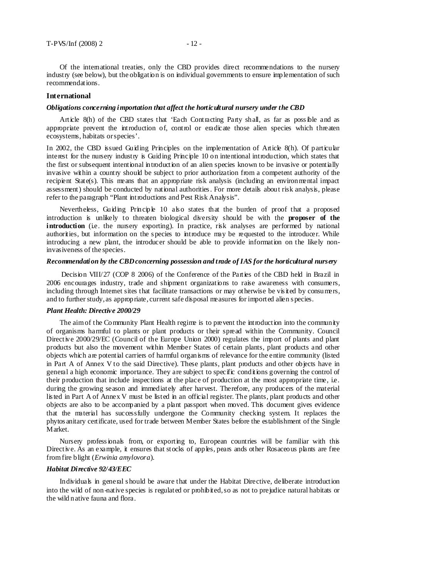Of the international treaties, only the CBD provides direct recommendations to the nursery industry (see below), but the obligation is on individual governments to ensure implementation of such recommendations.

#### **International**

#### *Obligations concerning importation that affect the horticultural nursery under the CBD*

Article 8(h) of the CBD states that 'Each Contracting Party shall, as far as poss ible and as appropriate prevent the introduction of, control or eradicate those alien species which threaten ecosystems, habitats or species'.

In 2002, the CBD issued Guiding Principles on the implementation of Article 8(h). Of particular interest for the nursery industry is Guiding Principle 10 on intentional introduction, which states that the first or subsequent intentional introduction of an alien species known to be invasive or potentially invasive within a country should be subject to prior authorization from a competent authority of the recipient State(s). This means that an appropriate risk analysis (including an environmental impact assessment) should be conducted by national authorities . For more details about risk analysis, please refer to the paragraph "Plant introductions and Pest Risk Analysis".

Nevertheless, Guiding Principle 10 als o states that the burden of proof that a proposed introduction is unlikely to threaten biological diversity should be with the **proposer of the introduction** (i.e. the nursery exporting). In practice, risk analyses are performed by national authorities, but information on the species to introduce may be requested to the introducer. While introducing a new plant, the introducer should be able to provide information on the likely noninvasiveness of the species.

#### *Recommendation by the CBD concerning possession and trade of IAS for the horticultural nursery*

Decision VIII/27 (COP 8 2006) of the Conference of the Parties of the CBD held in Brazil in 2006 encourages industry, trade and shipment organizations to raise awareness with consumers, including through Internet sites that facilitate transactions or may otherwise be vis ited by consumers, and to further study, as appropriate, current safe disposal measures for imported alien s pecies.

#### *Plant Health: Directive 2000/29*

The aim of the Community Plant Health regime is to prevent the introduction into the community of organisms harmful to plants or plant products or their spread within the Community. Council Directive 2000/29/EC (Council of the Europe Union 2000) regulates the import of plants and plant products but also the movement within Member States of certain plants, plant products and other objects which are potential carriers of harmful organisms of relevance for the entire community (listed in Part A of Annex V to the said Directive). These plants, plant products and other objects have in general a high economic importance. They are subject to specific conditions governing the control of their production that include inspections at the place of production at the most appropriate time, i.e. during the growing season and immediately after harvest. Therefore, any producers of the material lis ted in Part A of Annex V must be listed in an official register. The plants, plant products and other objects are also to be accompanied by a plant passport when moved. This document gives evidence that the material has successfully undergone the Community checking system. It replaces the phytos anitary certificate, used for trade between Member States before the establishment of the Single Market.

Nursery profess ionals from, or exporting to, European countries will be familiar with this Directive. As an example, it ensures that stocks of apples, pears ands other Rosaceous plants are free from fire blight (*Erwinia amylovora*).

#### *Habitat Directive 92/43/EEC*

Individuals in general s hould be aware that under the Habitat Directive, deliberate introduction into the wild of non-native species is regulated or prohibited, so as not to prejudice natural habitats or the wild native fauna and flora.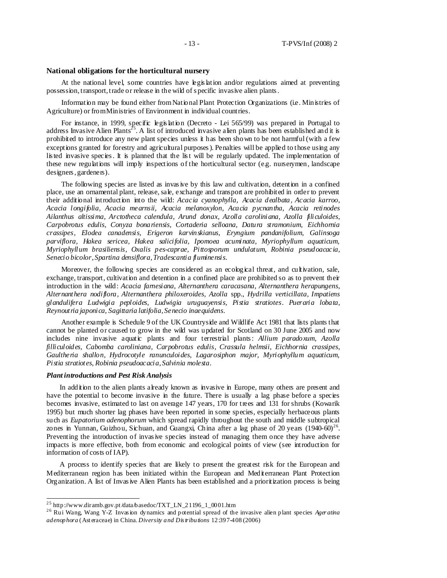#### **National obligations for the horticultural nursery**

At the national level, some countries have legis lation and/or regulations aimed at preventing possession, transport, trade or release in the wild of s pecific invasive alien plants .

Information may be found either from National Plant Protection Organizations (i.e. Ministries of Agriculture) or from Ministries of Environment in individual countries.

For instance, in 1999, specific legis lation (Decreto - Lei 565/99) was prepared in Portugal to address Invasive Alien Plants<sup>25</sup>. A list of introduced invasive alien plants has been established and it is prohibited to introduce any new plant species unless it has been shown to be not harmful (with a few exceptions granted for forestry and agricultural purposes ). Penalties will be applied to those using any lis ted invasive species . It is planned that the list will be regularly updated. The implementation of these new regulations will imply inspections of the horticultural sector (e.g. nurserymen, landscape designers , gardeners).

The following species are listed as invas ive by this law and cultivation, detention in a confined place, use an ornamental plant, release, sale, exchange and transport are prohibited in order to prevent their additional introduction into the wild: *Acacia cyanophylla, Acacia dealbata, Acacia karroo, Acacia longifolia, Acacia mearnsii, Acacia melanoxylon, Acacia pycnantha, Acacia retinodes Ailanthus altissima, Arctotheca calendula, Arund donax, Azolla caroliniana, Azolla filiculoides, Carpobrotus edulis, Conyza bonariensis, Cortaderia selloana, Datura stramonium, Eichhornia crassipes, Elodea canadensis, Erigeron karvinskianus, Eryngium pandanifolium, Galinsoga parviflora, Hakea sericea, Hakea salicifolia, Ipomoea acuminata, Myriophyllum aquaticum, Myriophyllum brasiliensis, Oxalis pes-caprae, Pittosporum undulatum, Robinia pseudoacacia, Senecio bicolor, Spartina densiflora, Tradescantia fluminensis*.

Moreover, the following species are considered as an ecological threat, and cultivation, sale, exchange, transport, cultivation and detention in a confined place are prohibited so as to prevent their introduction in the wild: *Acacia farnesiana, Alternanthera caracasana, Alternanthera herapungens*, *Alternanthera nodiflora, Alternanthera philoxeroides, Azolla* spp., *Hydrilla verticillata, Impatiens glandulifera Ludwigia peploides, Ludwigia uruguayensis, Pistia stratiotes*. *Pueraria lobata, Reynoutria japonica, Sagittaria latifolia, Senecio inaequidens*.

Another example is Schedule 9 of the UK Countryside and Wildlife Act 1981 that lists plants that cannot be planted or caused to grow in the wild was updated for Scotland on 30 June 2005 and now includes nine invasive aquatic plants and four terrestrial plants : *Allium paradoxum, Azolla filliculoides, Cabomba caroliniana, Carpobrotus edulis, Crassula helmsii*, *Eichhornia crassipes*, *Gaultheria shallon*, *Hydrocotyle ranunculoides*, *Lagarosiphon major*, *Myriophyllum aquaticum*, *Pistia stratiotes, Robinia pseudoacacia*, *Salvinia molesta*.

#### *Plant introductions and Pest Risk Analysis*

 $\overline{a}$ 

In addition to the alien plants already known as invasive in Europe, many others are present and have the potential to become invasive in the future. There is usually a lag phase before a species becomes invasive, estimated to last on average 147 years, 170 for trees and 131 for shrubs (Kowarik 1995) but much shorter lag phases have been reported in some species, especially herbaceous plants such as *Eupatorium adenophorum* which spread rapidly throughout the south and middle subtropical zones in Yunnan, Guizhou, Sichuan, and Guangxi, China after a lag phase of 20 years  $(1940-60)^{26}$ . Preventing the introduction of invasive species instead of managing them once they have adverse impacts is more effective, both from economic and ecological points of view (see introduction for information of costs of IAP).

A process to identify species that are likely to present the greatest risk for the European and Mediterranean region has been initiated within the European and Mediterranean Plant Protection Organization. A list of Invasive Alien Plants has been established and a prioritization process is being

 $^{25}$  http://www.diramb.gov.pt/data/basedoc/TXT\_LN\_21196\_1\_0001.htm

<sup>&</sup>lt;sup>26</sup> Rui Wang, Wang Y-Z Invasion dynamics and potential spread of the invasive alien plant species *Ager atina adenophora* (Ast eraceae) in China. *Diversity and Dis tributions* 12:397-408 (2006)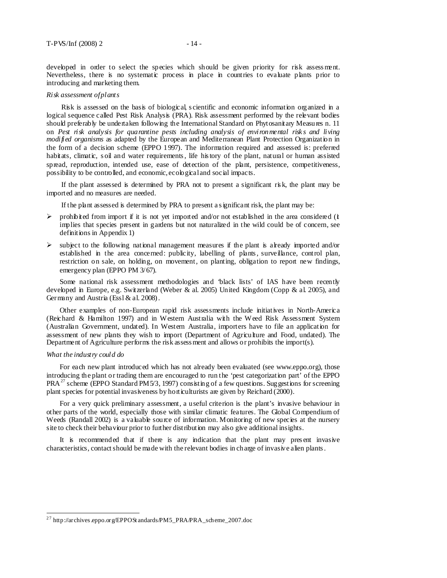developed in order to select the species which should be given priority for risk assessment. Nevertheless, there is no systematic process in place in countries to evaluate plants prior to introducing and marketing them.

#### *Risk assessment of plants*

Risk is assessed on the basis of biological, s cientific and economic information organized in a logical sequence called Pest Risk Analysis (PRA). Risk assessment performed by the relevant bodies should preferably be undertaken following the International Standard on Phytosanitary Measures n. 11 on *Pest risk analysis for quarantine pests including analysis of environmental risk s and living modified organisms* as adapted by the European and Mediterranean Plant Protection Organization in the form of a decision scheme (EPPO 1997). The information required and assessed is: preferred habitats, climatic, soil and water requirements, life history of the plant, natural or human assisted spread, reproduction, intended use, ease of detection of the plant, persistence, competitiveness, possibility to be controlled, and economic, ecological and social impacts.

If the plant assessed is determined by PRA not to present a significant risk, the plant may be imported and no measures are needed.

If the plant assessed is determined by PRA to present a s ignificant risk, the plant may be:

- $\triangleright$  prohibited from import if it is not yet imported and/or not established in the area considered (it implies that species present in gardens but not naturalized in the wild could be of concern, see definitions in Appendix 1)
- $\triangleright$  subject to the following national management measures if the plant is already imported and/or established in the area concerned: publicity, labelling of plants, surveillance, control plan, restriction on sale, on holding, on movement, on planting, obligation to report new findings, emergency plan (EPPO PM 3/67).

Some national risk assessment methodologies and 'black lists' of IAS have been recently developed in Europe, e.g. Switzerland (Weber & al. 2005) United Kingdom (Copp & al. 2005), and Germany and Austria (Essl & al. 2008).

Other examples of non-European rapid risk assessments include initiatives in North-America (Reichard & Hamilton 1997) and in Western Australia with the Weed Risk Assessment System (Australian Government, undated). In Western Australia, importers have to file an application for assessment of new plants they wish to import (Department of Agriculture and Food, undated). The Department of Agriculture performs the risk assess ment and allows or prohibits the import(s).

#### *What the industry could do*

 $\overline{a}$ 

For each new plant introduced which has not already been evaluated (see www.eppo.org), those introducing the plant or trading them are encouraged to run the 'pest categorization part' of the EPPO PRA<sup>27</sup> scheme (EPPO Standard PM5/3, 1997) consisting of a few questions. Suggestions for screening plant species for potential invasiveness by horticulturists are given by Reichard (2000).

For a very quick preliminary assessment, a useful criterion is the plant's invasive behaviour in other parts of the world, especially those with similar climatic features. The Global Compendium of Weeds (Randall 2002) is a valuable source of information. Monitoring of new species at the nursery site to check their behaviour prior to further distribution may also give additional insights.

It is recommended that if there is any indication that the plant may pres ent invasive characteristics, contact should be made with the relevant bodies in charge of invasive alien plants .

<sup>&</sup>lt;sup>27</sup> http://archives.eppo.org/EPPOSt andards/PM5\_PRA/PRA\_scheme\_2007.doc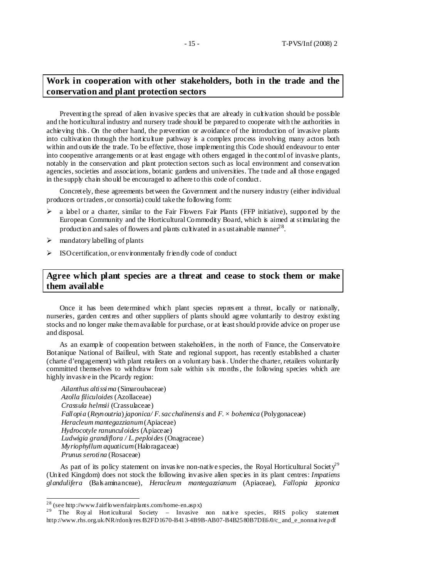## **Work in cooperation with other stakeholders, both in the trade and the conservation and plant protection sectors**

Preventing the spread of alien invasive species that are already in cultivation should be possible and the horticultural industry and nursery trade should be prepared to cooperate with the authorities in achieving this . On the other hand, the prevention or avoidance of the introduction of invasive plants into cultivation through the horticulture pathway is a complex process involving many actors both within and outs ide the trade. To be effective, those implementing this Code should endeavour to enter into cooperative arrangements or at least engage with others engaged in the control of invasive plants, notably in the conservation and plant protection sectors such as local environment and conservation agencies, societies and associations, botanic gardens and universities. The trade and all those engaged in the supply chain should be encouraged to adhere to this code of conduct.

Concretely, these agreements between the Government and the nursery industry (either individual producers or traders , or consortia) could take the following form:

- a label or a charter, similar to the Fair Flowers Fair Plants (FFP initiative), supported by the European Community and the Horticultural Commodity Board, which is aimed at stimulating the production and sales of flowers and plants cultivated in a sustainable manner  $2^8$ .
- $\triangleright$  mandatory labelling of plants
- $\triangleright$  ISO certification, or environmentally friendly code of conduct

## **Agree which plant species are a threat and cease to stock them or make them available**

Once it has been determined which plant species repres ent a threat, locally or nationally, nurseries, garden centres and other suppliers of plants should agree voluntarily to destroy existing stocks and no longer make them available for purchase, or at least should provide advice on proper use and disposal.

As an example of cooperation between stakeholders, in the north of France, the Conservatoire Botanique National of Bailleul, with State and regional support, has recently established a charter (charte d'engagement) with plant retailers on a voluntary bas is . Under the charter, retailers voluntarily committed themselves to withdraw from sale within six months , the following species which are highly invasive in the Picardy region:

*Ailanthus altissima* (Simaroubaceae) *Azolla filiculoides* (Azollaceae) *Crassula helmsii* (Crassulaceae) *Fallopia* (*Reynoutria*) *japonica/ F. sacchalinensis* and *F. × bohemica* (Polygonaceae) *Heracleum mantegazzianum* (Apiaceae) *Hydrocotyle ranunculoides* (Apiaceae) *Ludwigia grandiflora / L. peploides* (Onagraceae) *Myriophyllum aquaticum* (Haloragaceae) *Prunus serotina* (Rosaceae)

As part of its policy statement on invasive non-native species, the Royal Horticultural Society<sup>29</sup> (United Kingdom) does not stock the following invasive alien species in its plant centres: *Impatiens glandulifera* (Bals aminanceae), *Heracleum mantegazzianum* (Apiaceae), *Fallopia japonica*

 $\overline{a}$ 

<sup>&</sup>lt;sup>28</sup> (see http://www.fairflowersfairplants.com/home-en.aspx)

<sup>&</sup>lt;sup>29</sup> The Roy al Hort icultural Society – Invasive non native species, RHS policy statement http://www.rhs.org.uk/NR/rdonlyres/B2FD1670-B413-4B9B-AB07-B4B2580B7DE6/0/c\_and\_e\_nonnat ive.pdf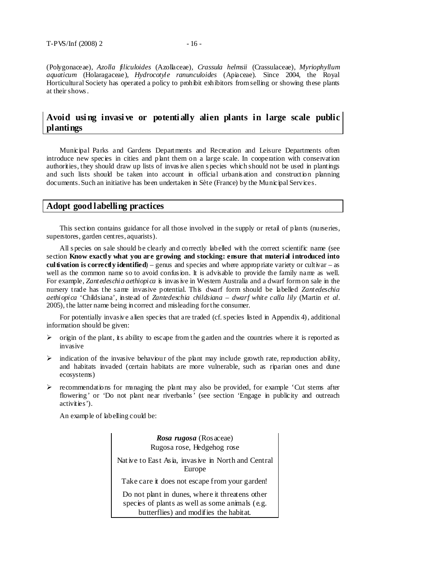(Polygonaceae), *Azolla filiculoides* (Azollaceae), *Crassula helmsii* (Crassulaceae), *Myriophyllum aquaticum* (Holaragaceae), *Hydrocotyle ranunculoides* (Apiaceae). Since 2004, the Royal Horticultural Society has operated a policy to prohibit exhibitors from selling or showing these plants at their shows .

## **Avoid usi ng invasi ve or potenti ally alien plants in large scale public plantings**

Municipal Parks and Gardens Departments and Recreation and Leisure Departments often introduce new species in cities and plant them on a large scale. In cooperation with conservation authorities, they should draw up lists of invas ive alien s pecies which should not be used in plantings and such lists should be taken into account in official urbanis ation and construction planning documents. Such an initiative has been undertaken in Sète (France) by the Municipal Services.

## **Adopt good labelling practices**

This section contains guidance for all those involved in the supply or retail of plants (nurseries, superstores, garden centres, aquarists).

All s pecies on sale should be clearly and correctly labelled with the correct scientific name (see section **Know exactly what you are growing and stocking: ensure that material introduced into cultivation is correctly identified**) – genus and species and where appropriate variety or cultivar – as well as the common name so to avoid confus ion. It is advisable to provide the family name as well. For example, *Zantedeschia aethiopica* is invasive in Western Australia and a dwarf form on sale in the nursery trade has the same invasive potential. This dwarf form should be labelled *Zantedeschia aethiopica* 'Childsiana', instead of *Zantedeschia childsiana – dwarf white calla lily* (Martin *et al*. 2005), the latter name being incorrect and misleading for the consumer.

For potentially invasive alien species that are traded (cf. species listed in Appendix 4), additional information should be given:

- $\triangleright$  origin of the plant, its ability to escape from the garden and the countries where it is reported as invasive
- indication of the invasive behaviour of the plant may include growth rate, reproduction ability, and habitats invaded (certain habitats are more vulnerable, such as riparian ones and dune ecosystems)
- recommendations for managing the plant may also be provided, for example *'*Cut stems after flowering' or 'Do not plant near riverbanks' (see section 'Engage in publicity and outreach activities').

An example of labelling could be:

*Rosa rugosa* (Rosaceae) Rugosa rose, Hedgehog rose Nat ive to East Asia, invasive in North and Central Europe Take care it does not escape from your garden! Do not plant in dunes, where it threatens other species of plants as well as some animals (e.g. butterflies) and modifies the habitat.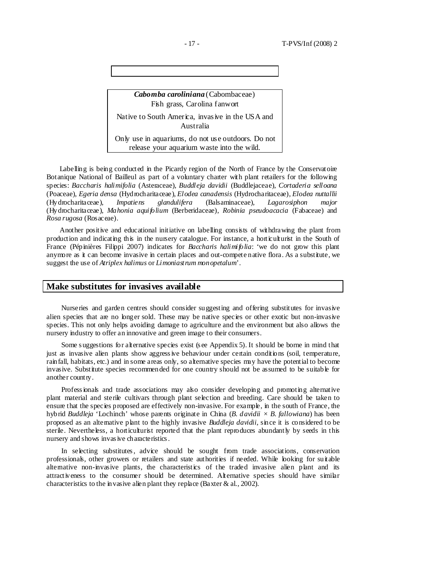*Cabomba caroliniana* (Cabombaceae) Fish grass, Carolina fanwort Native to South America, invasive in the USA and Australia Only use in aquariums, do not use outdoors. Do not release your aquarium waste into the wild.

Labelling is being conducted in the Picardy region of the North of France by the Conservatoire Botanique National of Bailleul as part of a voluntary charter with plant retailers for the following species: *Baccharis halimifolia* (Asteraceae), *Buddleja davidii* (Buddlejaceae), *Cortaderia selloana*  (Poaceae), *Egeria densa* (Hydrocharitaceae), *Elodea canadensis* (Hydrocharitaceae), *Elodea nuttallii*  (Hydrocharitaceae), *Impatiens glandulifera* (Balsaminaceae), *Lagarosiphon major*  (Hydrocharitaceae), *Mahonia aquifolium* (Berberidaceae), *Robinia pseudoacacia* (Fabaceae) and *Rosa rugosa* (Rosaceae).

Another positive and educational initiative on labelling consists of withdrawing the plant from production and indicating this in the nursery catalogue. For instance, a horticulturist in the South of France (Pépinières Filippi 2007) indicates for *Baccharis halimifolia*: 'we do not grow this plant anymore as it can become invasive in certain places and out-compete native flora. As a substitute, we suggest the use of *Atriplex halimus* or *Limoniastrum monopetalum*'.

### **Make substitutes for invasives available**

Nurseries and garden centres should consider suggesting and offering substitutes for invasive alien species that are no longer sold. These may be native species or other exotic but non-invasive species. This not only helps avoiding damage to agriculture and the environment but also allows the nursery industry to offer an innovative and green image to their consumers.

Some s uggestions for alternative species exist (s ee Appendix 5). It should be borne in mind that just as invasive alien plants show aggress ive behaviour under certain conditions (soil, temperature, rainfall, habitats, etc.) and in some areas only, so alternative species may have the potential to become invasive. Substitute species recommended for one country should not be assumed to be suitable for another country.

Profess ionals and trade associations may also consider developing and promoting alternative plant material and sterile cultivars through plant selection and breeding. Care should be taken to ensure that the species proposed are effectively non-invasive. For example, in the south of France, the hybrid *Buddleja* 'Lochinch' whose parents originate in China (*B. davidii × B. fallowiana*) has been proposed as an alternative plant to the highly invasive *Buddleja davidii*, since it is considered to be sterile. Nevertheless, a horticulturist reported that the plant reproduces abundantly by seeds in this nursery and shows invas ive characteristics .

In selecting substitutes , advice should be sought from trade associations, conservation professionals, other growers or retailers and state authorities if needed. While looking for suitable alternative non-invasive plants, the characteristics of the traded invasive alien plant and its attractiveness to the consumer should be determined. Alternative species should have similar characteristics to the invasive alien plant they replace (Baxter & al., 2002).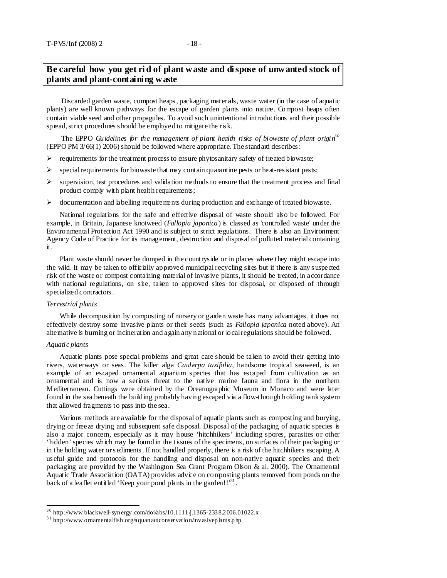## **Be careful how you get ri d of plant waste and di spose of unwanted stock of plants and plant-containing waste**

Discarded garden waste, compost heaps , packaging materials, waste water (in the case of aquatic plants) are well known pathways for the escape of garden plants into nature. Compost heaps often contain viable seed and other propagules. To avoid such unintentional introductions and their possible spread, strict procedures s hould be employed to mitigate the ris k.

The EPPO *Guidelines for the management of plant health risks of biowaste of plant origin3 0* (EPPO PM 3/66(1) 2006) should be followed where appropriate. The standard describes :

- $\triangleright$  requirements for the treatment process to ensure phytosanitary safety of treated biowaste;
- $\triangleright$  special requirements for biowaste that may contain quarantine pests or heat-resistant pests;
- $\triangleright$  supervision, test procedures and validation methods to ensure that the treatment process and final product comply with plant health requirements;
- $\triangleright$  documentation and labelling requirements during production and exchange of treated biowaste.

National regulations for the safe and effective disposal of waste should also be followed. For example, in Britain, Japanese knotweed (*Fallopia japonica*) is classed as 'controlled waste' under the Environmental Protection Act 1990 and is subject to strict regulations. There is also an Environment Agency Code of Practice for its management, destruction and disposal of polluted material containing it.

Plant waste should never be dumped in the countryside or in places where they might escape into the wild. It may be taken to officially approved municipal recycling sites but if there is any s uspected risk of the waste or compost containing material of invasive plants, it should be treated, in accordance with national regulations, on site, taken to approved sites for disposal, or disposed of through specialized contractors .

#### *Terrestrial plants*

While decomposition by composting of nursery or garden waste has many advantages, it does not effectively destroy some invasive plants or their seeds (such as *Fallopia japonica* noted above). An alternative is burning or incineration and again any national or local regulations should be followed.

#### *Aquatic plants*

Aquatic plants pose special problems and great care should be taken to avoid their getting into rivers, waterways or seas. The killer alga *Caulerpa taxifolia*, handsome tropical seaweed, is an example of an escaped ornamental aquarium s pecies that has escaped from cultivation as an ornamental and is now a serious threat to the native marine fauna and flora in the northern Mediterranean. Cuttings were obtained by the Oceanographic Museum in Monaco and were later found in the sea beneath the building probably having escaped via a flow-through holding tank system that allowed fragments to pass into the sea.

Various methods are available for the disposal of aquatic plants such as composting and burying, drying or freeze drying and subsequent safe disposal. Disposal of the packaging of aquatic species is also a major concern, especially as it may house 'hitchhikers' including spores, parasites or other 'hidden' species which may be found in the tissues of the specimens, on surfaces of their packaging or in the holding water or s ediments . If not handled properly, there is a risk of the hitchhikers escaping. A us eful guide and protocols for the handling and disposal on non-native aquatic species and their packaging are provided by the Washington Sea Grant Program Olson & al. 2000). The Ornamental Aquatic Trade Association (OATA) provides advice on composting plants removed from ponds on the back of a leaflet entitled 'Keep your pond plants in the garden!!'<sup>31</sup>.

 $^{30}$  http://www.blackwell-synergy.com/doi/abs/10.1111/j.1365-2338.2006.01022.x

 $31$  http://www.ornamentalfish.org/aquanautconservation/invasiveplants php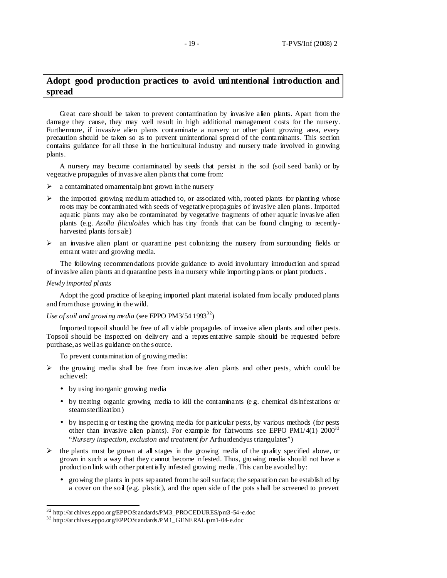## **Adopt good production practices to avoid uni ntentional introduction and spread**

Great care should be taken to prevent contamination by invasive alien plants. Apart from the damage they cause, they may well result in high additional management costs for the nursery. Furthermore, if invasive alien plants contaminate a nursery or other plant growing area, every precaution should be taken so as to prevent unintentional spread of the contaminants. This section contains guidance for all those in the horticultural industry and nursery trade involved in growing plants.

A nursery may become contaminated by seeds that persist in the soil (soil seed bank) or by vegetative propagules of invas ive alien plants that come from:

- $\triangleright$  a contaminated ornamental plant grown in the nursery
- $\triangleright$  the imported growing medium attached to, or associated with, rooted plants for planting whose roots may be contaminated with seeds of vegetative propagules of invasive alien plants . Imported aquatic plants may also be contaminated by vegetative fragments of other aquatic invas ive alien plants (e.g. *Azolla filiculoides* which has tiny fronds that can be found clinging to recentlyharvested plants for s ale)
- $\triangleright$  an invasive alien plant or quarantine pest colonizing the nursery from surrounding fields or entrant water and growing media.

The following recommendations provide guidance to avoid involuntary introduction and spread of invas ive alien plants and quarantine pests in a nursery while importing plants or plant products .

#### *Newly imported plants*

Adopt the good practice of keeping imported plant material isolated from locally produced plants and from those growing in the wild.

#### *Use of soil and growing media* (see EPPO PM3/54 1993<sup>32</sup>)

Imported topsoil should be free of all viable propagules of invasive alien plants and other pests. Topsoil s hould be inspected on delivery and a repres entative sample should be requested before purchase, as well as guidance on the s ource.

To prevent contamination of growing media:

- $\triangleright$  the growing media shall be free from invasive alien plants and other pests, which could be achieved:
	- by using inorganic growing media
	- by treating organic growing media to kill the contaminants (e.g. chemical disinfestations or steam sterilization)
	- by ins pecting or testing the growing media for particular pests, by various methods (for pests other than invasive alien plants). For example for flatworms see EPPO  $PM1/4(1)$  2000<sup>33</sup> "*Nursery inspection, exclusion and treatment for* Arthurdendyus triangulates")
- $\triangleright$  the plants must be grown at all stages in the growing media of the quality specified above, or grown in such a way that they cannot become infested. Thus, growing media should not have a production link with other potentially infested growing media. This can be avoided by:
	- growing the plants in pots separated from the soil surface; the separation can be established by a cover on the soil (e.g. plastic), and the open side of the pots s hall be screened to prevent

<sup>&</sup>lt;sup>32</sup> http://archives.eppo.org/EPPOSt andards/PM3\_PROCEDURES/pm3-54-e.doc

<sup>3 3</sup> http://archives .eppo.org/EPPOSt andards /PM1\_GENERAL/pm1-04-e.doc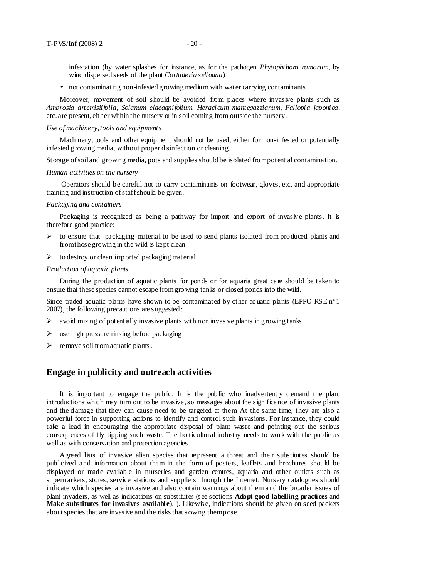infestation (by water splashes for instance, as for the pathogen *Phytophthora ramorum*, by wind dispersed seeds of the plant *Cortaderia selloana*)

• not contaminating non-infested growing medium with water carrying contaminants.

Moreover, movement of soil should be avoided from places where invasive plants such as *Ambrosia artemisiifolia, Solanum elaeagnifolium*, *Heracleum mantegazzianum*, *Fallopia japonica*, etc. are present, either within the nursery or in soil coming from outside the nursery.

#### *Use of machinery, tools and equipments*

Machinery, tools and other equipment should not be used, either for non-infested or potentially infested growing media, without proper disinfection or cleaning.

Storage of soil and growing media, pots and supplies should be isolated from potential contamination.

#### *Human activities on the nursery*

Operators should be careful not to carry contaminants on footwear, gloves, etc. and appropriate training and instruction of staff should be given.

#### *Packaging and containers*

Packaging is recognized as being a pathway for import and export of invasive plants. It is therefore good practice:

- $\triangleright$  to ensure that packaging material to be used to send plants isolated from produced plants and from those growing in the wild is kept clean
- $\triangleright$  to destroy or clean imported packaging material.

#### *Production of aquatic plants*

During the production of aquatic plants for ponds or for aquaria great care should be taken to ensure that these species cannot escape from growing tanks or closed ponds into the wild.

Since traded aquatic plants have shown to be contaminated by other aquatic plants (EPPO RSE  $n^{\circ}1$ ) 2007), the following precautions are s uggested:

- $\triangleright$  avoid mixing of potentially invasive plants with non invasive plants in growing tanks
- $\triangleright$  use high pressure rinsing before packaging
- $\triangleright$  remove soil from aquatic plants.

### **Engage in publicity and outreach activities**

It is important to engage the public. It is the public who inadvertently demand the plant introductions which may turn out to be invas ive, so messages about the s ignificance of invasive plants and the damage that they can cause need to be targeted at them. At the same time, they are also a powerful force in supporting actions to identify and control such invasions. For instance, they could take a lead in encouraging the appropriate disposal of plant waste and pointing out the serious consequences of fly tipping such waste. The horticultural industry needs to work with the public as well as with conservation and protection agencies.

Agreed lists of invasive alien species that represent a threat and their substitutes should be publicized and information about them in the form of posters, leaflets and brochures should be displayed or made available in nurseries and garden centres, aquaria and other outlets such as supermarkets, stores, service stations and suppliers through the Internet. Nursery catalogues should indicate which species are invasive and also contain warnings about them and the broader issues of plant invaders, as well as indications on substitutes (s ee sections **Adopt good labelling practices** and **Make substitutes for invasives available**). ). Likewis e, indications should be given on seed packets about species that are invasive and the risks that sowing them pose.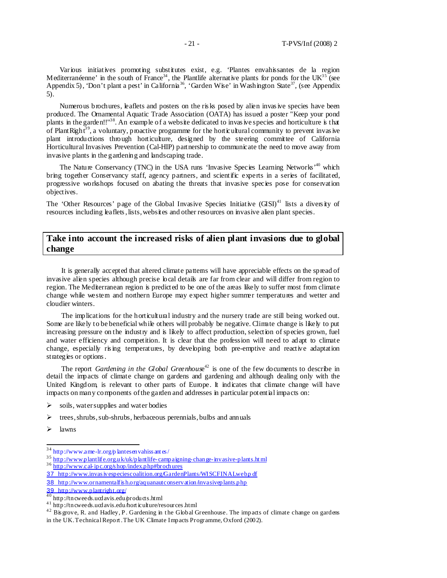Various initiatives promoting substitutes exist, e.g. 'Plantes envahissantes de la region Mediterranéenne' in the south of France<sup>34</sup>, the Plantlife alternative plants for ponds for the UK<sup>35</sup> (see Appendix 5), 'Don't plant a pest' in California<sup>36</sup>, 'Garden Wise' in Washington State<sup>37</sup>, (see Appendix 5).

Numerous brochures, leaflets and posters on the risks posed by alien invasive species have been produced. The Ornamental Aquatic Trade Association (OATA) has issued a poster "Keep your pond plants in the garden!!"<sup>38</sup>. An example of a website dedicated to invasive species and horticulture is that of Plant Right<sup>39</sup>, a voluntary, proactive programme for the horticultural community to prevent invasive plant introductions through horticulture, designed by the steering committee of California Horticultural Invasives Prevention (Cal-HIP) partnership to communicate the need to move away from invasive plants in the gardening and landscaping trade.

The Nature Conservancy (TNC) in the USA runs 'Invasive Species Learning Networks<sup> $40$ </sup> which bring together Conservancy staff, agency partners, and scientific experts in a series of facilitated, progressive workshops focused on abating the threats that invasive species pose for conservation objectives.

The 'Other Resources' page of the Global Invasive Species Initiative  $(GISI)^{41}$  lists a diversity of resources including leaflets , lists, websites and other resources on invasive alien plant species.

## **Take into account the increased risks of alien plant invasions due to global change**

It is generally accepted that altered climate patterns will have appreciable effects on the spread of invasive alien species although precise local details are far from clear and will differ from region to region. The Mediterranean region is predicted to be one of the areas likely to suffer most from climate change while western and northern Europe may expect higher summer temperatures and wetter and cloudier winters.

The implications for the horticultural industry and the nursery trade are still being worked out. Some are likely to be beneficial while others will probably be negative. Climate change is likely to put increasing pressure on the industry and is likely to affect production, selection of species grown, fuel and water efficiency and competition. It is clear that the profession will need to adapt to climate change, especially ris ing temperatures, by developing both pre-emptive and reactive adaptation strategies or options.

The report *Gardening in the Global Greenhous*e <sup>42</sup> is one of the few documents to describe in detail the impacts of climate change on gardens and gardening and although dealing only with the United Kingdom, is relevant to other parts of Europe. It indicates that climate change will have impacts on many components of the garden and addresses in particular potential impacts on:

- $\triangleright$  soils, water supplies and water bodies
- $\triangleright$  trees, shrubs, sub-shrubs, herbaceous perennials, bulbs and annuals
- $\triangleright$  lawns

 $\frac{1}{2}$ 

39 http://www.plantright.org/

<sup>&</sup>lt;sup>34</sup> http://www.ame-lr.org/p lantesen vahiss ant es/

<sup>&</sup>lt;sup>35</sup> http://www.plantlife.org.uk/uk/plantlife-campaigning-change-invasive-plants.html 3 6 http://www.cal-ipc.org/s hop/index.php#brochures

<sup>37</sup> http://www.invasivespeciescoalition.org/GardenPlants/WISCFINALwebpdf

<sup>38</sup> http://www.ornamentalfis h.org/aquanautconservation/invasiveplants.php

 $^{40}$  http://tncweeds.ucdavis.edu/products.html

<sup>&</sup>lt;sup>41</sup> http://tncweeds.ucdavis.edu/hort iculture/resources.html

<sup>&</sup>lt;sup>42</sup> Bis grove, R. and Hadley, P. Gardening in the Global Greenhouse. The impacts of climate change on gardens

in the UK. Technical Report . The UK Climate Impacts Programme, Oxford (2002).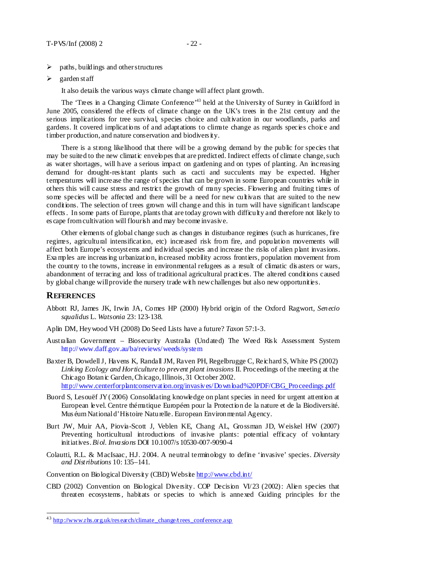- paths, buildings and other structures
- $\triangleright$  garden staff

It also details the various ways climate change will affect plant growth.

The 'Trees in a Changing Climate Conference'<sup>43</sup> held at the University of Surrey in Guildford in June 2005, considered the effects of climate change on the UK's trees in the 21st century and the serious implications for tree survival, species choice and cultivation in our woodlands, parks and gardens. It covered implications of and adaptations to climate change as regards species choice and timber production, and nature conservation and biodivers ity.

There is a strong likelihood that there will be a growing demand by the public for species that may be suited to the new climatic envelopes that are predicted. Indirect effects of climate change, such as water shortages, will have a serious impact on gardening and on types of planting. An increasing demand for drought-res istant plants such as cacti and succulents may be expected. Higher temperatures will increase the range of species that can be grown in some European countries while in others this will cause stress and restrict the growth of many species. Flowering and fruiting times of some species will be affected and there will be a need for new cultivars that are suited to the new conditions. The selection of trees grown will change and this in turn will have significant landscape effects . In some parts of Europe, plants that are today grown with difficulty and therefore not likely to es cape from cultivation will flourish and may become invasive.

Other elements of global change such as changes in disturbance regimes (such as hurricanes, fire regimes, agricultural intensification, etc) increased risk from fire, and population movements will affect both Europe's ecosystems and individual species and increase the risks of alien plant invasions. Exa mples are increas ing urbanization, increased mobility across frontiers, population movement from the country to the towns, increase in environmental refugees as a result of climatic dis asters or wars, abandonment of terracing and loss of traditional agricultural practices. The altered conditions caused by global change will provide the nursery trade with new challenges but also new opportunities.

#### **REFERENCES**

 $\overline{a}$ 

- Abbott RJ, James JK, Irwin JA, Comes HP (2000) Hybrid origin of the Oxford Ragwort, *Senecio squalidus* L. *Watsonia* 23: 123-138.
- Aplin DM, Heywood VH (2008) Do Seed Lists have a future? *Taxon* 57:1-3.
- Australian Government Biosecurity Australia (Undated) The Weed Ris k Assessment System http://www.daff.gov.au/ba/reviews/weeds/system
- Baxter B, Dowdell J, Havens K, Randall JM, Raven PH, Regelbrugge C, Reichard S, White PS (2002) *Linking Ecology and Horticulture to prevent plant invasions* II. Proceedings of the meeting at the Chicago Botanic Garden, Chicago, Illinois, 31 October 2002. http://www.centerforplantconservation.org/invasives/Download%20PDF/CBG\_Proceedings .pdf
- Buord S, Lesouëf JY (2006) Consolidating knowledge on plant species in need for urgent attention at European level. Centre thématique Européen pour la Protection de la nature et de la Biodiversité. Mus éum National d'Histoire Naturelle. European Environmental Agency.
- Burt JW, Muir AA, Piovia-Scott J, Veblen KE, Chang AL, Grossman JD, Weiskel HW (2007) Preventing horticultural introductions of invasive plants: potential efficacy of voluntary initiatives. *Biol. Invasions* DOI 10.1007/s 10530-007-9090-4
- Colautti, R.L. & MacIsaac, H.J. 2004. A neutral terminology to define 'invasive' species. *Diversity and Distributions* 10: 135–141.

Convention on Biological Diversity (CBD) Website http://www.cbd.int/

CBD (2002) Convention on Biological Diversity. COP Decision VI/23 (2002): Alien species that threaten ecosystems , habitats or species to which is annexed Guiding principles for the

<sup>&</sup>lt;sup>43</sup> http://www.rhs.org.uk/research/climate\_change/t rees\_conference.asp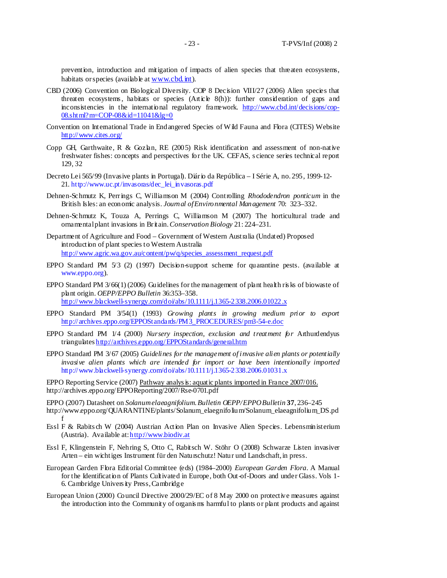prevention, introduction and mitigation of impacts of alien species that threaten ecosystems, habitats or species (available at  $www.cbd.int$ ).

- CBD (2006) Convention on Biological Diversity. COP 8 Decision VIII/27 (2006) Alien species that threaten ecosystems, habitats or species  $(A$ rticle  $8(h)$ ): further consideration of gaps and inconsistencies in the international regulatory framework. http://www.cbd.int/decisions/cop-08.shtml?m=COP-08&id=11041&lg=0
- Convention on International Trade in Endangered Species of Wild Fauna and Flora (CITES) Website http://www.cites.org/
- Copp GH, Garthwaite, R & Gozlan, RE  $(2005)$  Risk identification and assessment of non-native freshwater fishes: concepts and perspectives for the UK. CEFAS, s cience series technical report 129, 32
- Decreto Lei 565/99 (Invasive plants in Portugal). Diário da República I Série A, no. 295, 1999-12- 21. http://www.uc.pt/invasoras/dec\_lei\_invasoras.pdf
- Dehnen-Schmutz K, Perrings C, Williamson M (2004) Controlling *Rhododendron ponticum* in the British Isles: an economic analysis. *Journal of Environmental Management* 70: 323–332.
- Dehnen-Schmutz K, Touza A, Perrings C, Williamson M (2007) The horticultural trade and ornamental plant invasions in Britain. *Conservation Biology* 21: 224–231.
- Department of Agriculture and Food Government of Western Australia (Undated) Proposed introduction of plant species to Western Australia http://www.agric.wa.gov.au/content/pw/q/species\_assessment\_request.pdf
- EPPO Standard PM 5/3 (2) (1997) Decision-support scheme for quarantine pests. (available at www.eppo.org).
- EPPO Standard PM 3/66(1) (2006) Guidelines for the management of plant health risks of biowaste of plant origin. *OEPP/EPPO Bulletin* 36:353–358. http://www.blackwell-synergy.com/doi/abs/10.1111/j.1365-2338.2006.01022.x
- EPPO Standard PM 3/54(1) (1993) *Growing plants in growing medium prior to export*  http://archives.eppo.org/EPPOStandards/PM3\_PROCEDURES/pm3-54-e.doc
- EPPO Standard PM 1/4 (2000) *Nursery inspection, exclusion and treatment for* Arthurdendyus triangulates http://archives.eppo.org/EPPOStandards/general.htm
- EPPO Standard PM 3/67 (2005) *Guidelines for the management of invasive alien plants or potentially invasive alien plants which are intended for import or have been intentionally imported*  http://www.blackwell-synergy.com/doi/abs/10.1111/j.1365-2338.2006.01031.x
- EPPO Reporting Service (2007) Pathway analys is: aquatic plants imported in France 2007/016. http://archives.eppo.org/EPPOReporting/2007/Rse-0701.pdf
- EPPO (2007) Datasheet on *Solanum elaeagnifolium*. *Bulletin OEPP/EPPO Bulletin* **37**, 236–245 http://www.eppo.org/QUARANTINE/plants/Solanum\_elaegnifolium/Solanum\_elaeagnifolium\_DS.pd f
- Essl F & Rabits ch W (2004) Austrian Action Plan on Invasive Alien Species. Lebensministerium (Austria). Available at: http://www.biodiv.at
- Essl F, Klingenstein F, Nehring S, Otto C, Rabitsch W. Stöhr O (2008) Schwarze Listen invasiver Arten – ein wichtiges Instrument für den Naturschutz! Natur und Landschaft, in press.
- European Garden Flora Editorial Committee (eds) (1984–2000) *European Garden Flora*. A Manual for the Identification of Plants Cultivated in Europe, both Out-of-Doors and under Glass. Vols 1- 6. Cambridge Univers ity Press, Cambridge
- European Union (2000) Council Directive 2000/29/EC of 8 May 2000 on protective measures against the introduction into the Community of organis ms harmful to plants or plant products and against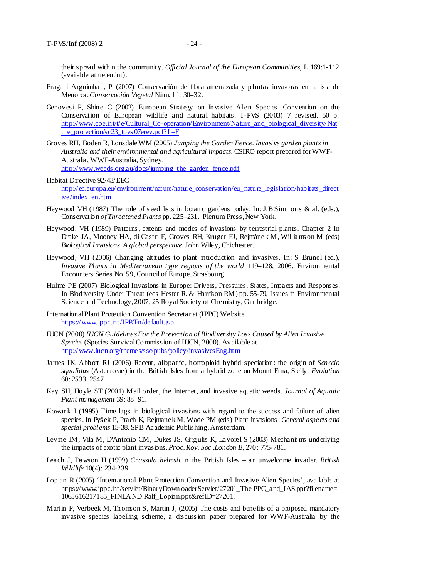their spread within the community. *Official Journal of the European Communities*, L 169:1-112 (available at ue.eu.int).

- Fraga i Arguimbau, P (2007) Conservación de flora amenazada y plantas invasoras en la isla de Menorca. *Conservación Vegetal* Núm. 11: 30–32.
- Genovesi P, Shine C (2002) European Strategy on Invasive Alien Species . Convention on the Conservation of European wildlife and natural habitats. T-PVS (2003) 7 revised. 50 p. http://www.coe.int/t/e/Cultural\_Co-operation/Environment/Nature\_and\_biological\_diversity/Nat ure\_protection/sc23\_tpvs 07erev.pdf?L=E
- Groves RH, Boden R, Lonsdale WM (2005) *Jumping the Garden Fence. Invasive garden plants in Australia and their environmental and agricultural impacts*. CSIRO report prepared for WWF-Australia, WWF-Australia, Sydney. http://www.weeds.org.au/docs/jumping\_the\_garden\_fence.pdf
- Habitat Directive 92/43/EEC http://ec.europa.eu/environment/nature/nature\_conservation/eu\_nature\_legislation/habitats\_direct ive/index\_en.htm
- Heywood VH (1987) The role of seed lists in botanic gardens today. In: J.B.Simmons & al. (eds.), Conservation *of Threatened Plants* pp. 225–231. Plenum Press, New York.
- Heywood, VH (1989) Patterns , extents and modes of invasions by terrestrial plants. Chapter 2 In Drake JA, Mooney HA, di Castri F, Groves RH, Kruger FJ, Rejmánek M, Willia ms on M (eds) *Biological Invasions. A global perspective*. John Wiley, Chichester.
- Heywood, VH (2006) Changing attitudes to plant introduction and invasives. In: S Brunel (ed.), *Invasive Plants in Mediterranean type regions of the world* 119–128, 2006. Environmental Encounters Series No. 59, Council of Europe, Strasbourg.
- Hulme PE (2007) Biological Invasions in Europe: Drivers, Pressures, States, Impacts and Responses. In Biodiversity Under Threat (eds Hester R. & Harrison RM) pp. 55-79, Issues in Environmental Science and Technology, 2007, 25 Royal Society of Chemistry, Ca mbridge.
- International Plant Protection Convention Secretariat (IPPC) Website https://www.ippc.int/IPP/En/default.jsp
- IUCN (2000) *IUCN Guidelines For the Prevention of Biodiversity Loss Caused by Alien Invasive Species* (Species Survival Commiss ion of IUCN, 2000). Available at http://www.iucn.org/themes/ssc/pubs/policy/invasivesEng.htm
- James JK, Abbott RJ (2006) Recent, allopatric, homoploid hybrid speciation: the origin of *Senecio squalidus* (Asteraceae) in the British Is les from a hybrid zone on Mount Etna, Sicily. *Evolution* 60: 2533–2547
- Kay SH, Hoyle ST (2001) Mail order, the Internet, and invasive aquatic weeds. *Journal of Aquatic Plant management* 39: 88–91.
- Kowarik I (1995) Time lags in biological invasions with regard to the success and failure of alien species. In Pyš ek P, Prach K, Rejmanek M, Wade PM (eds) Plant invasions : *General aspects and special problems* 15-38. SPB Academic Publishing, Amsterdam.
- Levine JM, Vila M, D'Antonio CM, Dukes JS, Grigulis K, Lavorel S (2003) Mechanis ms underlying the impacts of exotic plant invasions. *Proc. Roy. Soc .London B*, 270: 775-781.
- Leach J, Dawson H (1999) *Crassula helmsii* in the British Isles an unwelcome invader. *British Wildlife* 10(4): 234-239.
- Lopian R (2005) 'International Plant Protection Convention and Invasive Alien Species', available at https://www.ippc.int/servlet/BinaryDownloaderServlet/27201\_The PPC\_and\_IAS.ppt?filename= 1065616217185\_FINLAND Ralf\_Lopian.ppt&refID=27201.
- Martin P, Verbeek M, Thomson S, Martin J, (2005) The costs and benefits of a proposed mandatory invasive species labelling scheme, a discuss ion paper prepared for WWF-Australia by the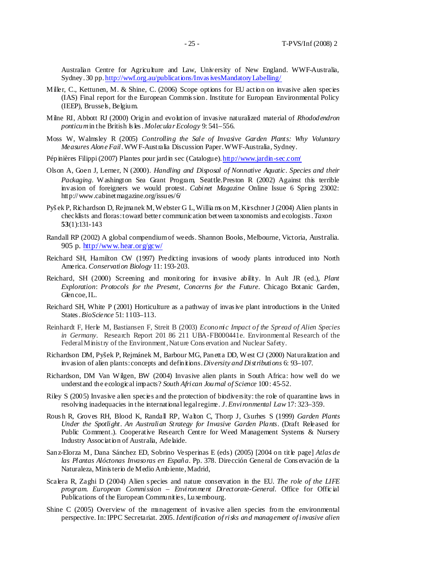Australian Centre for Agriculture and Law, University of New England. WWF-Australia, Sydney. 30 pp. http://wwf.org.au/publications/Invas ivesMandatoryLabelling/

- Miller, C., Kettunen, M. & Shine, C. (2006) Scope options for EU action on invasive alien species (IAS) Final report for the European Commis sion. Institute for European Environmental Policy (IEEP), Brussels, Belgium.
- Milne RI, Abbott RJ (2000) Origin and evolution of invasive naturalized material of *Rhododendron ponticum* in the British Is les . *Molecular Ecology* 9: 541–556.
- Moss W, Walmsley R (2005) *Controlling the Sale of Invasive Garden Plants: Why Voluntary Measures Alone Fail.* WWF-Australia Discussion Paper. WWF-Australia, Sydney.
- Pépinières Filippi (2007) Plantes pour jardin sec (Catalogue). http://www.jardin-sec.com/
- Olson A, Goen J, Lerner, N (2000)*. Handling and Disposal of Nonnative Aquatic. Species and their Packaging.* Washington Sea Grant Program*,* Seattle.Preston R (2002) Against this terrible invasion of foreigners we would protest. *Cabinet Magazine* Online Issue 6 Spring 23002: http://www.cabinetmagazine.org/issues/6/
- Pyš ek P, Richardson D, Rejmanek M, Webster G L, Willia ms on M, Kirschner J (2004) Alien plants in checklists and floras: toward better communication between taxonomists and ecologists . *Taxon* **53**(1):131-143
- Randall RP (2002) A global compendium of weeds. Shannon Books, Melbourne, Victoria, Australia. 905 p. http://www.hear.org/gcw/
- Reichard SH, Hamilton CW (1997) Predicting invasions of woody plants introduced into North America. *Conservation Biology* 11: 193-203.
- Reichard, SH (2000) Screening and monitoring for invasive ability. In Ault JR (ed.), *Plant Exploration*: *Protocols for the Present, Concerns for the Future*. Chicago Botanic Garden, Glencoe, IL.
- Reichard SH, White P (2001) Horticulture as a pathway of invas ive plant introductions in the United States . *BioScience* 51: 1103–113.
- Reinhardt F, Herle M, Bastiansen F, Streit B (2003) *Economic Impact of the Spread of Alien Species in Germany*. Research Report 201 86 211 UBA-FB000441e. Environmental Research of the Federal Ministry of the Environment, Nature Conservation and Nuclear Safety.
- Richardson DM, Pyšek P, Rejmánek M, Barbour MG, Panetta DD, West CJ (2000) Naturalization and invasion of alien plants: concepts and definitions.*Diversity and Distributions* 6: 93–107.
- Richardson, DM Van Wilgen, BW (2004) Invasive alien plants in South Africa: how well do we understand the ecological impacts? *South African Journal of Science* 100: 45-52.
- Riley S (2005) Invasive alien species and the protection of biodiversity: the role of quarantine laws in resolving inadequacies in the international legal regime. *J. Environmental Law* 17: 323–359.
- Rous h R, Groves RH, Blood K, Randall RP, Walton C, Thorp J, Csurhes S (1999) *Garden Plants Under the Spotlight. An Australian Strategy for Invasive Garden Plants*. (Draft Released for Public Comment.). Cooperative Research Centre for Weed Management Systems & Nursery Industry Association of Australia, Adelaide.
- Sanz-Elorza M, Dana Sánchez ED, Sobrino Vesperinas E (eds) (2005) [2004 on title page] *Atlas de las Plantas Alóctonas Invasoras en España*. Pp. 378. Dirección General de Cons ervación de la Naturaleza, Minis terio de Medio Ambiente, Madrid,
- Scalera R, Zaghi D (2004) Alien s pecies and nature conservation in the EU. *The role of the LIFE program. European Commission – Environment Directorate-General.* Office for Offic ial Publications of the European Communities, Luxembourg.
- Shine C (2005) Overview of the management of invasive alien species from the environmental perspective. In: IPPC Secretariat. 2005. *Identification of risks and management of invasive alien*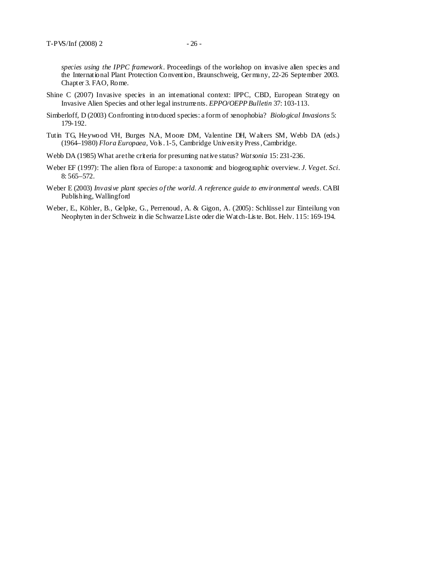*species using the IPPC framework*. Proceedings of the workshop on invasive alien species and the International Plant Protection Convention, Braunschweig, Germany, 22-26 September 2003. Chapter 3. FAO, Rome.

- Shine C (2007) Invasive species in an international context: IPPC, CBD, European Strategy on Invasive Alien Species and other legal instruments. *EPPO/OEPP Bulletin* 37: 103-113.
- Simberloff, D (2003) Confronting introduced species: a form of xenophobia?*Biological Invasions* 5: 179-192.
- Tutin TG, Heywood VH, Burges N.A, Moore DM, Valentine DH, Walters SM, Webb DA (eds.) (1964–1980) *Flora Europaea,* Vols . 1-5, Cambridge University Press , Cambridge.
- Webb DA (1985) What are the criteria for presuming native status? *Watsonia* 15: 231-236.
- Weber EF (1997): The alien flora of Europe: a taxonomic and biogeographic overview. *J. Veget. Sci*. 8: 565–572.
- Weber E (2003) *Invasive plant species of the world. A reference guide to environmental weeds.* CABI Publishing, Wallingford
- Weber, E., Köhler, B., Gelpke, G., Perrenoud, A. & Gigon, A. (2005): Schlüssel zur Einteilung von Neophyten in der Schweiz in die Schwarze Liste oder die Watch-Lis te. Bot. Helv. 115: 169-194.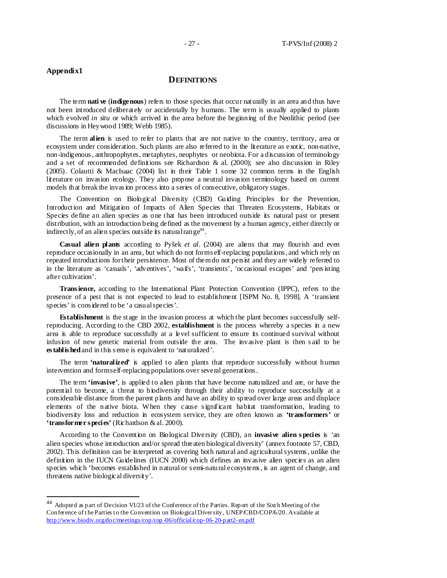<u>.</u>

## **DEFINITIONS**

The term **nati ve** (**indigenous**) refers to those species that occur naturally in an area and thus have not been introduced deliberately or accidentally by humans. The term is usually applied to plants which evolved *in situ* or which arrived in the area before the beginning of the Neolithic period (see discussions in Heywood 1989; Webb 1985).

The term **alien** is used to refer to plants that are not native to the country, territory, area or ecosystem under consideration. Such plants are also referred to in the literature as exotic, non-native, non-indigenous , anthropophytes, metaphytes, neophytes or neobiota. For a discussion of terminology and a set of recommended definitions see Richardson & al.  $(2000)$ ; see also discussion in Riley (2005). Colautti & MacIsaac (2004) list in their Table 1 some 32 common terms in the English literature on invasion ecology. They also propose a neutral invasion terminology based on current models that break the invas ion process into a series of consecutive, obligatory stages.

The Convention on Biological Diversity (CBD) Guiding Principles for the Prevention, Introduction and Mitigation of Impacts of Alien Species that Threaten Ecosystems, Habitats or Species define an alien species as one that has been introduced outside its natural past or present distribution, with an introduction being defined as the movement by a human agency, either directly or indirectly, of an alien species outside its natural range<sup>44</sup>.

**Casual alien plants** according to Pyšek *et al*. (2004) are aliens that may flourish and even reproduce occasionally in an area, but which do not form s elf-replacing populations , and which rely on repeated introductions for their persistence. Most of them do not persist and they are widely referred to in the literature as 'casuals', 'adventives', 'waifs', 'transients', 'occasional escapes' and 'pers isting after cultivation'.

**Trans ience,** according to the International Plant Protection Convention (IPPC), refers to the presence of a pest that is not expected to lead to establishment [ISPM No. 8, 1998]. A 'transient species' is cons idered to be 'a casual species'.

**Establishment** is the stage in the invasion process at which the plant becomes successfully selfreproducing. According to the CBD 2002, **establishment** is the process whereby a species in a new area is able to reproduce successfully at a level sufficient to ensure its continued survival without infusion of new genetic material from outside the area. The invasive plant is then s aid to be **es tablis hed** and in this s ense is equivalent to 'naturalized'.

The term **'naturalized'** is applied to alien plants that reproduce successfully without human intervention and form self-replacing populations over several generations .

The term **'invasive'**, is applied to alien plants that have become naturalized and are, or have the potential to become, a threat to biodiversity through their ability to reproduce successfully at a considerable distance from the parent plants and have an ability to spread over large areas and displace elements of the native biota. When they cause s ignificant habitat transformation, leading to biodiversity loss and reduction in ecosystem service, they are often known as **'transformers'** or **'transformer s pecies'** (Richardson & al. 2000).

According to the Convention on Biological Diversity (CBD), an **invasive alien s pecies** is 'an alien species whose introduction and/or spread threaten biological diversity' (annex footnote 57, CBD, 2002). This definition can be interpreted as covering both natural and agricultural systems , unlike the definition in the IUCN Guidelines (IUCN 2000) which defines an invasive alien species as an alien species which 'becomes established in natural or s emi-natural ecosystems , is an agent of change, and threatens native biological diversity'.

<sup>44</sup> Adopted as part of Decision VI/23 of the Conference of the Parties. Report of the Sixt h Meeting of the Conference of the Parties to the Convention on Biological Diversity, UNEP/CBD/COP/6/20. Available at http://www.biodiv.org/doc/meetings/cop/cop -06/official/cop-06-20-part2-en.pdf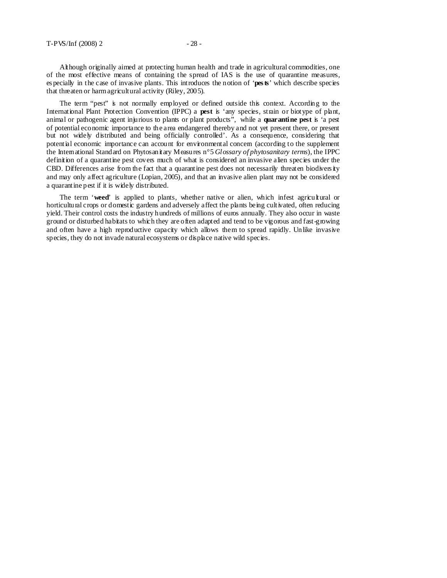Although originally aimed at protecting human health and trade in agricultural commodities, one of the most effective means of containing the spread of IAS is the use of quarantine measures, es pecially in the case of invasive plants. This introduces the notion of '**pes ts**' which describe species that threaten or harm agricultural activity (Riley, 2005).

The term "pest" is not normally employed or defined outside this context. According to the International Plant Protection Convention (IPPC) a **pest** is 'any species, strain or biotype of plant, animal or pathogenic agent injurious to plants or plant products", while a **quarantine pest** is 'a pest of potential economic importance to the area endangered thereby and not yet present there, or present but not widely distributed and being officially controlled'. As a consequence, considering that potential economic importance can account for environmental concern (according to the supplement the International Standard on Phytosanitary Measures n°5 *Glossary of phytosanitary terms*), the IPPC definition of a quarantine pest covers much of what is considered an invasive alien species under the CBD. Differences arise from the fact that a quarantine pest does not necessarily threaten biodivers ity and may only affect agriculture (Lopian, 2005), and that an invasive alien plant may not be considered a quarantine pest if it is widely distributed.

The term '**weed**' is applied to plants, whether native or alien, which infest agricultural or horticultural crops or domestic gardens and adversely affect the plants being cultivated, often reducing yield. Their control costs the industry hundreds of millions of euros annually. They also occur in waste ground or disturbed habitats to which they are often adapted and tend to be vigorous and fast-growing and often have a high reproductive capacity which allows them to spread rapidly. Unlike invasive species, they do not invade natural ecosystems or displace native wild species.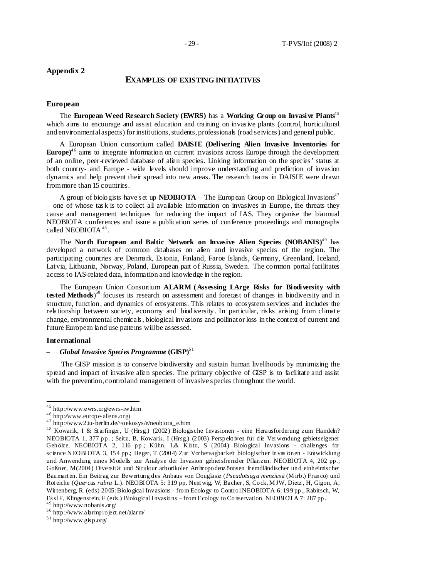## **EXAMPLES OF EXISTING INITIATIVES**

#### **European**

The **European Weed Research Society (EWRS)** has a **Working Group on Invasive Plants**4 5 which aims to encourage and assist education and training on invasive plants (control, horticultural and environmental aspects) for institutions, students, professionals (road services ) and general public.

A European Union consortium called **DAISIE (Delivering Alien Invasive Inventories for Europe**<sup>46</sup> aims to integrate information on current invasions across Europe through the development of an online, peer-reviewed database of alien species. Linking information on the species ' status at both country- and Europe - wide levels should improve understanding and prediction of invasion dynamics and help prevent their spread into new areas. The research teams in DAISIE were drawn from more than 15 countries.

A group of biologists have set up **NEOBIOTA** – The European Group on Biological Invasions<sup>47</sup>  $-$  one of whose tas k is to collect all available information on invasives in Europe, the threats they cause and management techniques for reducing the impact of IAS. They organise the biannual NEOBIOTA conferences and issue a publication series of conference proceedings and monographs called NEOBIOTA $48$ .

The **North European and Baltic Network on Invasive Alien Species (NOBANIS)<sup>49</sup> has** developed a network of common databases on alien and invasive species of the region. The participating countries are Denmark, Es tonia, Finland, Faroe Islands, Germany, Greenland, Iceland, Latvia, Lithuania, Norway, Poland, European part of Russia, Sweden. The common portal facilitates access to IAS-related data, information and knowledge in the region.

The European Union Consortium **ALARM (Assessing LArge Risks for Biodiversity with**  tested Methods)<sup>50</sup> focuses its research on assessment and forecast of changes in biodiversity and in structure, function, and dynamics of ecosystems. This relates to ecosystem services and includes the relationship between society, economy and biodiversity. In particular, ris ks arising from climate change, environmental chemicals , biological invasions and pollinator loss in the context of current and future European land use patterns will be assessed.

#### **International**

 $\frac{1}{2}$ 

#### – *Global Invasive Species Programme* **(GISP)**5 1

The GISP mission is to conserve biodiversity and sustain human livelihoods by minimizing the spread and impact of invasive alien species. The primary objective of GISP is to facilitate and assist with the prevention, control and management of invasive species throughout the world.

 $45$  http://www.ewrs.org/ewrs-iw.htm

<sup>4 6</sup> http:⁄⁄www.europe-aliens.org)

<sup>&</sup>lt;sup>47</sup> http://www2.tu-berlin.de/~oekosys/e/neobiota\_e.htm

<sup>&</sup>lt;sup>48</sup> Kowarik, I & Starfinger, U (Hrsg.) (2002) Biologische Invasionen - eine Herausforderung zum Handeln? NEOBIOTA 1, 377 pp. ; Seitz, B, Kowarik, I (Hrsg.) (2003) Perspekt iven für die Verwendung gebietseigener Gehölze. NEOBIOTA 2, 116 pp.; Kühn, I,& Klotz, S (2004) Biological Invasions - challenges for science.NEOBIOTA 3, 154 pp.; Heger, T (2004) Zur Vorhersagbarkeit biologischer Invas ionen - Entwicklung und Anwendung eines Modells zur Analyse der Invasion gebiet sfremder Pflanzen. NEOBIOTA 4, 202 pp .; Goßner, M(2004) Diversit ät und St ruktur arborikoler Arthropodenz önosen fremdländischer und einheimischer Baumart en. Ein Beitrag zur Bewertung des Anbaus von Douglasie (*Pseudotsuga menzies ii* (M irb.) Franco) und Rot eiche (*Quer cus rubra* L.). NEOBIOTA 5: 319 pp. Nent wig, W, Bacher, S, Cock, M JW, Dietz , H, Gigon, A, Wit tenberg, R. (eds) 2005: Biological Invasions - from Ecology to Control.NEOBIOTA 6: 199 pp., Rabitsch, W, Es sl F, Klingenstein, F (eds.) Biological Invasions – from Ecology to Conservation. NEOBIOTA 7: 287 pp.  $^{49}$  http://www.nobanis.org/

<sup>5 0</sup> http://www.alarmproject.net/alarm/

 $51$  http://www.gisp.org/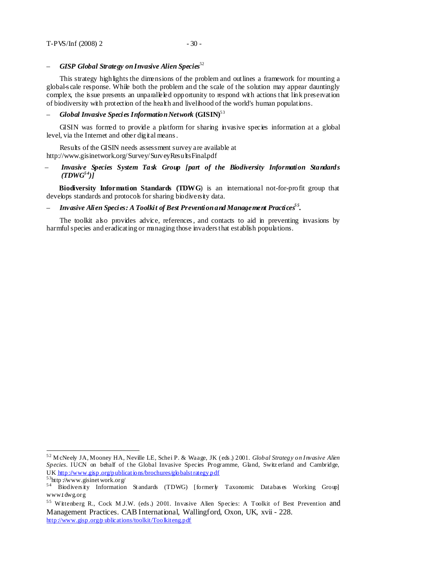$\frac{1}{2}$ 

### – *GISP Global Strategy on Invasive Alien Species*<sup>52</sup>

This strategy highlights the dimensions of the problem and outlines a framework for mounting a global-s cale response. While both the problem and the scale of the solution may appear dauntingly complex, the issue presents an unparalleled opportunity to respond with actions that link preservation of biodiversity with protection of the health and livelihood of the world's human populations.

### – *Global Invasive Species Information Network* **(GISIN)**5 3

GISIN was formed to provide a platform for sharing invasive species information at a global level, via the Internet and other digital means.

Results of the GISIN needs assessment survey are available at http://www.gisinetwork.org/Survey/SurveyResultsFinal.pdf

#### – *Invasive Species System Task Group [part of the Biodiversity Information Standards*   $(TDWG<sup>54</sup>)$

**Biodiversity Information Standards (TDWG**) is an international not-for-profit group that develops standards and protocols for sharing biodiversity data.

### – *Invasive Alien Species: A Toolkit of Best Prevention and Management Practices5 5 .*

The toolkit also provides advice, references, and contacts to aid in preventing invasions by harmful species and eradicating or managing those invaders that establish populations.

<sup>5 2</sup> M cNeely JA, Mooney HA, Neville LE, Schei P. & Waage, JK (eds .) 2001. *Global Strategy on Invasive Alien*  Species. IUCN on behalf of the Global Invasive Species Programme, Gland, Switz erland and Cambridge, UK http://www.gisp.org/publications/brochures/globalstrategy.pdf  $53$ http://www.gisinet work.org/

<sup>54</sup> Biodiversity Information Standards (TDWG) [formerly Taxonomic Databases Working Group] www.t dwg.org

<sup>&</sup>lt;sup>55</sup> Wittenberg R., Cock M J.W. (eds.) 2001. Invasive Alien Species: A Toolkit of Best Prevention and Management Practices. CAB International, Wallingford, Oxon, UK, xvii - 228. http://www.gisp.org/p ublications/toolkit/Toolkiteng.pdf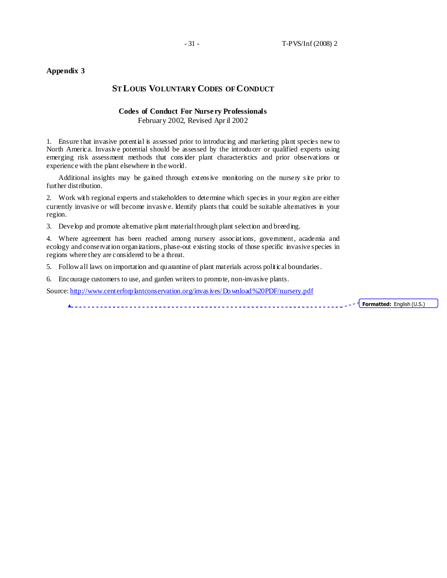## **ST LOUIS VOLUNTARY CODES OF CONDUCT**

## **Codes of Conduct For Nursery Professionals**

February 2002, Revised Apr il 2002

1. Ensure that invasive potential is assessed prior to introducing and marketing plant species new to North America. Invasive potential should be assessed by the introducer or qualified experts using emerging risk assessment methods that cons ider plant characteristics and prior observations or experience with the plant elsewhere in the world.

Additional insights may be gained through extens ive monitoring on the nursery s ite prior to further distribution.

2. Work with regional experts and stakeholders to determine which species in your region are either currently invasive or will become invasive. Identify plants that could be suitable alternatives in your region.

3. Develop and promote alternative plant material through plant selection and breeding.

4. Where agreement has been reached among nursery associations, government, academia and ecology and conservation organizations, phase-out existing stocks of those specific invasive species in regions where they are considered to be a threat.

5. Follow all laws on importation and quarantine of plant materials across political boundaries .

6. Encourage customers to use, and garden writers to promote, non-invasive plants.

Source: http://www.centerforplantconservation.org/invas ives/Download%20PDF/nursery.pdf

Formatted: English  $(U.S.)$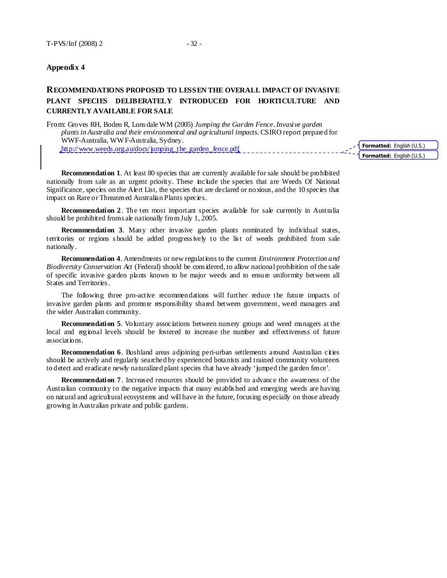## **RECOMMENDATIONS PROPOSED TO LESSEN THE OVERALL IMPACT OF INVASIVE PLANT SPECIES DELIBERATELY INTRODUCED FOR HORTICULTURE AND CURRENTLY AVAILABLE FOR SALE**

From: Groves RH, Boden R, Lons dale WM (2005) *Jumping the Garden Fence. Invasive garden plants in Australia and their environmental and agricultural impacts*. CSIRO report prepared for WWF-Australia, WWF-Australia, Sydney. http://www.weeds.org.au/docs/jumping\_the\_garden\_fence.pdf

**Recommendation 1.** At least 80 species that are currently available for sale should be prohibited nationally from sale as an urgent priority. These include the species that are Weeds Of National Significance, species on the Alert List, the species that are declared or noxious, and the 10 species that impact on Rare or Threatened Australian Plants species.

**Recommendation 2.** The ten most important species available for sale currently in Australia should be prohibited from s ale nationally from July 1, 2005.

**Recommendation 3**. Many other invasive garden plants nominated by individual states, territories or regions s hould be added progress ively to the lis t of weeds prohibited from sale nationally.

**Recommendation 4**. Amendments or new regulations to the current *Environment Protection and Biodiversity Conservation Act* (Federal) should be cons idered, to allow national prohibition of the sale of specific invasive garden plants known to be major weeds and to ensure uniformity between all States and Territories .

The following three pro-active recommendations will further reduce the future impacts of invasive garden plants and promote responsibility shared between government, weed managers and the wider Australian community.

**Recommendation 5.** Voluntary associations between nursery groups and weed managers at the local and regional levels should be fostered to increase the number and effectiveness of future associations.

**Recommendation 6.** Bushland areas adjoining peri-urban settlements around Australian cities should be actively and regularly searched by experienced botanists and trained community volunteers to detect and eradicate newly naturalized plant species that have already 'jumped the garden fence'.

**Recommendation 7**. Increased resources should be provided to advance the awareness of the Australian community to the negative impacts that many establis hed and emerging weeds are having on natural and agricultural ecosystems and will have in the future, focusing especially on those already growing in Australian private and public gardens.

Formatted: English (U.S.) Formatted: English (U.S.)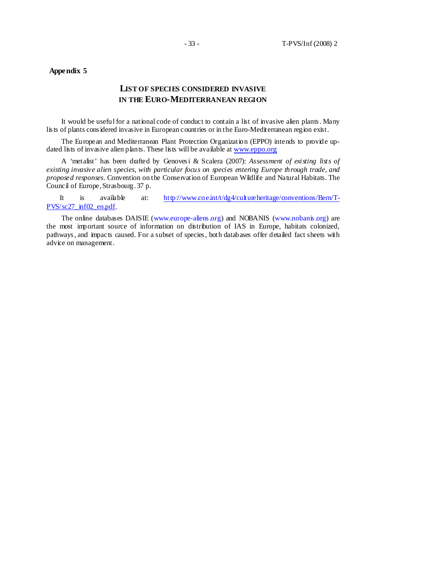## **LIST OF SPECIES CONSIDERED INVASIVE IN THE EURO-MEDITERRANEAN REGION**

It would be useful for a national code of conduct to contain a list of invasive alien plants . Many lis ts of plants cons idered invasive in European countries or in the Euro-Mediterranean region exist.

The European and Mediterranean Plant Protection Organization (EPPO) intends to provide updated lists of invasive alien plants. These lists will be available at www.eppo.org

A 'metalist' has been drafted by Genoves i & Scalera (2007): *Assessment of existing lists of existing invasive alien species, with particular focus on species entering Europe through trade, and proposed responses.* Convention on the Conservation of European Wildlife and Natural Habitats. The Council of Europe, Strasbourg. 37 p.

It is available at:  $http$ ://www.coe.int/t/dg4/cultureheritage/conventions/Bern/T-PVS/sc27\_inf02\_en.pdf.

The online databases DAISIE (www.europe-aliens.org) and NOBANIS (www.nobanis.org) are the most important source of information on distribution of IAS in Europe, habitats colonized, pathways , and impacts caused. For a subset of species , both databases offer detailed fact sheets with advice on management.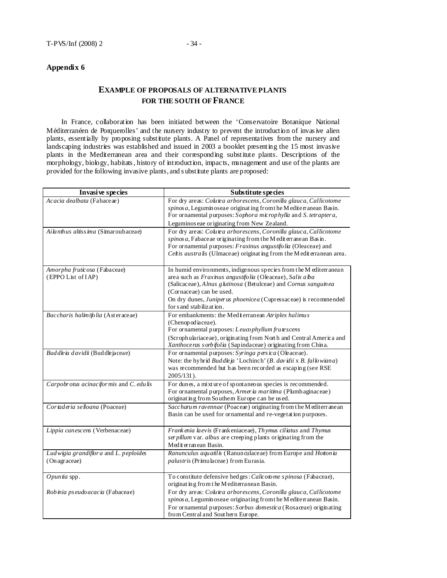## **EXAMPLE OF PROPOSALS OF ALTERNATIVE PLANTS FOR THE SOUTH OF FRANCE**

In France, collaboration has been initiated between the 'Conservatoire Botanique National Méditerranéen de Porquerolles' and the nursery industry to prevent the introduction of invas ive alien plants, essentially by proposing substitute plants. A Panel of representatives from the nursery and landscaping industries was established and issued in 2003 a booklet presenting the 15 most invasive plants in the Mediterranean area and their corresponding substitute plants. Descriptions of the morphology, biology, habitats , history of introduction, impacts, management and use of the plants are provided for the following invasive plants, and s ubstitute plants are proposed:

| Invasive species                                        | Substitute species                                                                                                                                                                                                                                                                                                            |
|---------------------------------------------------------|-------------------------------------------------------------------------------------------------------------------------------------------------------------------------------------------------------------------------------------------------------------------------------------------------------------------------------|
| Acacia dealbata (Fabaceae)                              | For dry areas: Colutea arborescens, Coronilla glauca, Callicotome<br>spinos a, Legumin oseae originating from the Mediter anean Basin.<br>For ornamental purposes: Sophora microphylla and S. tetraptera,<br>Leguminos eae originating from New Zealand.                                                                      |
| Ailanthus altissima (Simaroubaceae)                     | For dry areas: Colutea arborescens, Coronilla glauca, Callicotome<br>spinos a, Fabaceae originating from the M edit errane an Basin.<br>For ornamental purposes: Fraxinus angustifolia (Oleaceae) and<br>Celtis australis (Ulmaceae) originating from the Medit erranean area.                                                |
| Amorpha fruticosa (Fabaceae)<br>(EPPO List of IAP)      | In humid environments, indigenous species from the M editerranean<br>area such as Fraxinus angustifolia (Oleaceae), Salix alba<br>(Salicaceae), Alnus glutinosa (Betulceae) and Cornus sanguinea<br>(Cornaceae) can be used.<br>On dry dunes, Juniper us phoenice a (Cupressaceae) is recommended<br>for s and stabilization. |
| Baccharis halimifolia (Asteraceae)                      | For embankments: the Medit erranean Atriplex halimus<br>(Chenopodiaceae).<br>For ornamental purposes: Leucophyllum frutescens<br>(Scrophulariaceae), originating from North and Central America and<br>Xanthoce ras sorbifolia (Sapindaceae) originating from China.                                                          |
| Buddleia davidü (Buddlejaceae)                          | For ornamental purposes: Syringa persica (Oleaceae).<br>Note: the hybrid Buddleja 'Lochinch' (B. davidii x B. fallowiana)<br>was recommended but has been recorded as escaping (see RSE<br>2005/131).                                                                                                                         |
| Carpobrotus acinaciformis and C. edulis                 | For dunes, a mixture of spontaneous species is recommended.<br>For ornamental purposes, Armeria maritima (Plumbaginaceae)<br>originating from Southem Europe can be used.                                                                                                                                                     |
| Cortaderia selloana (Poaceae)                           | Saccharum ravennae (Poaceae) originating from the Mediterrane an<br>Basin can be used for ornamental and re-vegetation purposes.                                                                                                                                                                                              |
| Lippia can esc ens (Verbenaceae)                        | Frank enia la evis (Frank eniace ae), Thymus ciliatus and Thymus<br>ser pillum var. albus are creeping plants originating from the<br>Mediterranean Basin.                                                                                                                                                                    |
| Ludwigia grandiflor a and L. peploides<br>(On agraceae) | Ranunculus aquatilis (Ranunculaceae) from Europe and Hottonia<br>palustris (Primulaceae) from Eurasia.                                                                                                                                                                                                                        |
| $O$ <i>puntia</i> spp.                                  | To constitute defensive hedges: Calicotome spinosa (Fabaceae),<br>originating from the Mediterranean Basin.                                                                                                                                                                                                                   |
| Robinia ps eudo acacia (Fabaceae)                       | For dry areas: Colutea arborescens, Coronilla glauca, Callicotome<br>spinos a, Leguminoseae originating from the Mediterranean Basin.<br>For ornamental purposes: Sorbus domestica (Rosaceae) originating<br>from Central and Sout hern Europe.                                                                               |